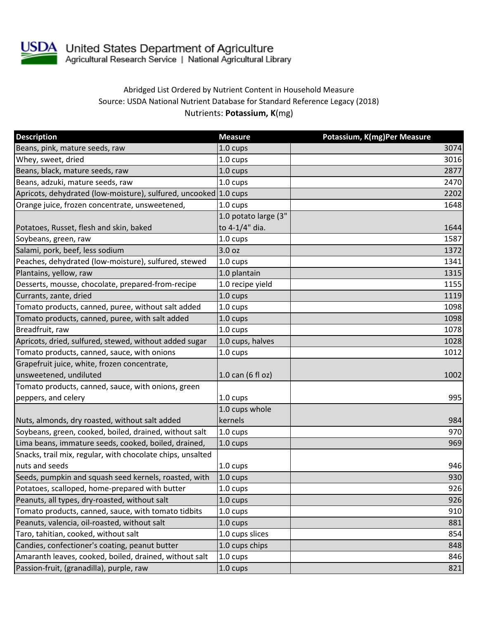

USDA United States Department of Agriculture<br>Agricultural Research Service | National Agricultural Library

## Abridged List Ordered by Nutrient Content in Household Measure Source: USDA National Nutrient Database for Standard Reference Legacy (2018) Nutrients: **Potassium, K**(mg)

| <b>Description</b>                                               | <b>Measure</b>       | Potassium, K(mg)Per Measure |
|------------------------------------------------------------------|----------------------|-----------------------------|
| Beans, pink, mature seeds, raw                                   | 1.0 cups             | 3074                        |
| Whey, sweet, dried                                               | 1.0 cups             | 3016                        |
| Beans, black, mature seeds, raw                                  | 1.0 cups             | 2877                        |
| Beans, adzuki, mature seeds, raw                                 | 1.0 cups             | 2470                        |
| Apricots, dehydrated (low-moisture), sulfured, uncooked 1.0 cups |                      | 2202                        |
| Orange juice, frozen concentrate, unsweetened,                   | 1.0 cups             | 1648                        |
|                                                                  | 1.0 potato large (3" |                             |
| Potatoes, Russet, flesh and skin, baked                          | to 4-1/4" dia.       | 1644                        |
| Soybeans, green, raw                                             | 1.0 cups             | 1587                        |
| Salami, pork, beef, less sodium                                  | 3.0 oz               | 1372                        |
| Peaches, dehydrated (low-moisture), sulfured, stewed             | 1.0 cups             | 1341                        |
| Plantains, yellow, raw                                           | 1.0 plantain         | 1315                        |
| Desserts, mousse, chocolate, prepared-from-recipe                | 1.0 recipe yield     | 1155                        |
| Currants, zante, dried                                           | 1.0 cups             | 1119                        |
| Tomato products, canned, puree, without salt added               | 1.0 cups             | 1098                        |
| Tomato products, canned, puree, with salt added                  | 1.0 cups             | 1098                        |
| Breadfruit, raw                                                  | 1.0 cups             | 1078                        |
| Apricots, dried, sulfured, stewed, without added sugar           | 1.0 cups, halves     | 1028                        |
| Tomato products, canned, sauce, with onions                      | 1.0 cups             | 1012                        |
| Grapefruit juice, white, frozen concentrate,                     |                      |                             |
| unsweetened, undiluted                                           | 1.0 can (6 fl oz)    | 1002                        |
| Tomato products, canned, sauce, with onions, green               |                      |                             |
| peppers, and celery                                              | 1.0 cups             | 995                         |
|                                                                  | 1.0 cups whole       |                             |
| Nuts, almonds, dry roasted, without salt added                   | kernels              | 984                         |
| Soybeans, green, cooked, boiled, drained, without salt           | 1.0 cups             | 970                         |
| Lima beans, immature seeds, cooked, boiled, drained,             | 1.0 cups             | 969                         |
| Snacks, trail mix, regular, with chocolate chips, unsalted       |                      |                             |
| nuts and seeds                                                   | 1.0 cups             | 946                         |
| Seeds, pumpkin and squash seed kernels, roasted, with            | 1.0 cups             | 930                         |
| Potatoes, scalloped, home-prepared with butter                   | 1.0 cups             | 926                         |
| Peanuts, all types, dry-roasted, without salt                    | 1.0 cups             | 926                         |
| Tomato products, canned, sauce, with tomato tidbits              | 1.0 cups             | 910                         |
| Peanuts, valencia, oil-roasted, without salt                     | 1.0 cups             | 881                         |
| Taro, tahitian, cooked, without salt                             | 1.0 cups slices      | 854                         |
| Candies, confectioner's coating, peanut butter                   | 1.0 cups chips       | 848                         |
| Amaranth leaves, cooked, boiled, drained, without salt           | 1.0 cups             | 846                         |
| Passion-fruit, (granadilla), purple, raw                         | 1.0 cups             | 821                         |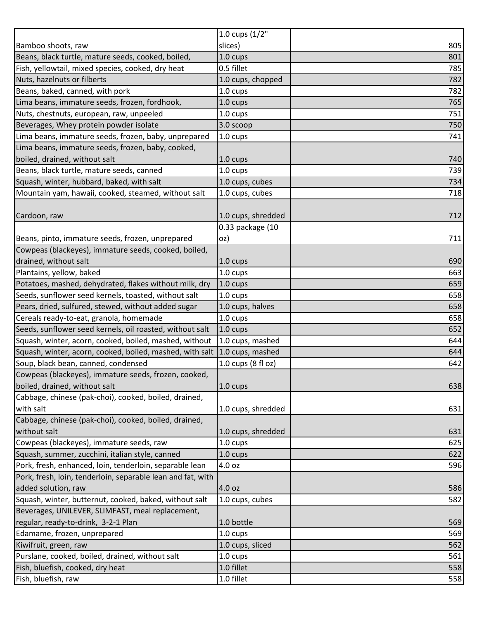|                                                             | 1.0 cups (1/2"     |     |
|-------------------------------------------------------------|--------------------|-----|
| Bamboo shoots, raw                                          | slices)            | 805 |
| Beans, black turtle, mature seeds, cooked, boiled,          | 1.0 cups           | 801 |
| Fish, yellowtail, mixed species, cooked, dry heat           | 0.5 fillet         | 785 |
| Nuts, hazelnuts or filberts                                 | 1.0 cups, chopped  | 782 |
| Beans, baked, canned, with pork                             | 1.0 cups           | 782 |
| Lima beans, immature seeds, frozen, fordhook,               | 1.0 cups           | 765 |
| Nuts, chestnuts, european, raw, unpeeled                    | $1.0 \text{ cups}$ | 751 |
| Beverages, Whey protein powder isolate                      | 3.0 scoop          | 750 |
| Lima beans, immature seeds, frozen, baby, unprepared        | 1.0 cups           | 741 |
| Lima beans, immature seeds, frozen, baby, cooked,           |                    |     |
| boiled, drained, without salt                               | 1.0 cups           | 740 |
| Beans, black turtle, mature seeds, canned                   | 1.0 cups           | 739 |
| Squash, winter, hubbard, baked, with salt                   | 1.0 cups, cubes    | 734 |
| Mountain yam, hawaii, cooked, steamed, without salt         | 1.0 cups, cubes    | 718 |
|                                                             |                    |     |
| Cardoon, raw                                                | 1.0 cups, shredded | 712 |
|                                                             | 0.33 package (10   |     |
| Beans, pinto, immature seeds, frozen, unprepared            | oz)                | 711 |
| Cowpeas (blackeyes), immature seeds, cooked, boiled,        |                    |     |
| drained, without salt                                       | 1.0 cups           | 690 |
| Plantains, yellow, baked                                    | 1.0 cups           | 663 |
| Potatoes, mashed, dehydrated, flakes without milk, dry      | $1.0 \text{ cups}$ | 659 |
| Seeds, sunflower seed kernels, toasted, without salt        | 1.0 cups           | 658 |
| Pears, dried, sulfured, stewed, without added sugar         | 1.0 cups, halves   | 658 |
| Cereals ready-to-eat, granola, homemade                     | 1.0 cups           | 658 |
| Seeds, sunflower seed kernels, oil roasted, without salt    | $1.0 \text{ cups}$ | 652 |
| Squash, winter, acorn, cooked, boiled, mashed, without      | 1.0 cups, mashed   | 644 |
| Squash, winter, acorn, cooked, boiled, mashed, with salt    | 1.0 cups, mashed   | 644 |
| Soup, black bean, canned, condensed                         | 1.0 cups (8 fl oz) | 642 |
| Cowpeas (blackeyes), immature seeds, frozen, cooked,        |                    |     |
| boiled, drained, without salt                               | 1.0 cups           | 638 |
| Cabbage, chinese (pak-choi), cooked, boiled, drained,       |                    |     |
| with salt                                                   | 1.0 cups, shredded | 631 |
| Cabbage, chinese (pak-choi), cooked, boiled, drained,       |                    |     |
| without salt                                                | 1.0 cups, shredded | 631 |
| Cowpeas (blackeyes), immature seeds, raw                    | 1.0 cups           | 625 |
| Squash, summer, zucchini, italian style, canned             | 1.0 cups           | 622 |
| Pork, fresh, enhanced, loin, tenderloin, separable lean     | 4.0 oz             | 596 |
| Pork, fresh, loin, tenderloin, separable lean and fat, with |                    |     |
| added solution, raw                                         | 4.0 oz             | 586 |
| Squash, winter, butternut, cooked, baked, without salt      | 1.0 cups, cubes    | 582 |
| Beverages, UNILEVER, SLIMFAST, meal replacement,            |                    |     |
| regular, ready-to-drink, 3-2-1 Plan                         | 1.0 bottle         | 569 |
| Edamame, frozen, unprepared                                 | 1.0 cups           | 569 |
| Kiwifruit, green, raw                                       | 1.0 cups, sliced   | 562 |
| Purslane, cooked, boiled, drained, without salt             | 1.0 cups           | 561 |
| Fish, bluefish, cooked, dry heat                            | 1.0 fillet         | 558 |
| Fish, bluefish, raw                                         | 1.0 fillet         | 558 |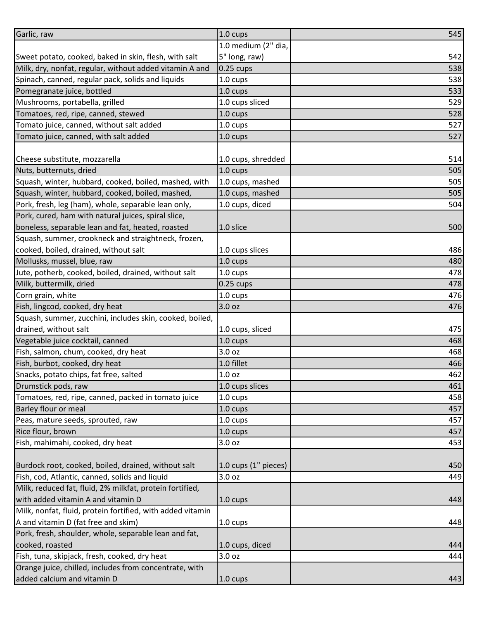| Garlic, raw                                                | 1.0 cups             | 545 |
|------------------------------------------------------------|----------------------|-----|
|                                                            | 1.0 medium (2" dia,  |     |
| Sweet potato, cooked, baked in skin, flesh, with salt      | 5" long, raw)        | 542 |
| Milk, dry, nonfat, regular, without added vitamin A and    | $0.25$ cups          | 538 |
| Spinach, canned, regular pack, solids and liquids          | 1.0 cups             | 538 |
| Pomegranate juice, bottled                                 | 1.0 cups             | 533 |
| Mushrooms, portabella, grilled                             | 1.0 cups sliced      | 529 |
| Tomatoes, red, ripe, canned, stewed                        | 1.0 cups             | 528 |
| Tomato juice, canned, without salt added                   | 1.0 cups             | 527 |
| Tomato juice, canned, with salt added                      | 1.0 cups             | 527 |
|                                                            |                      |     |
| Cheese substitute, mozzarella                              | 1.0 cups, shredded   | 514 |
| Nuts, butternuts, dried                                    | 1.0 cups             | 505 |
| Squash, winter, hubbard, cooked, boiled, mashed, with      | 1.0 cups, mashed     | 505 |
| Squash, winter, hubbard, cooked, boiled, mashed,           | 1.0 cups, mashed     | 505 |
| Pork, fresh, leg (ham), whole, separable lean only,        | 1.0 cups, diced      | 504 |
| Pork, cured, ham with natural juices, spiral slice,        |                      |     |
| boneless, separable lean and fat, heated, roasted          | 1.0 slice            | 500 |
| Squash, summer, crookneck and straightneck, frozen,        |                      |     |
| cooked, boiled, drained, without salt                      | 1.0 cups slices      | 486 |
| Mollusks, mussel, blue, raw                                | 1.0 cups             | 480 |
| Jute, potherb, cooked, boiled, drained, without salt       | 1.0 cups             | 478 |
| Milk, buttermilk, dried                                    | $0.25$ cups          | 478 |
| Corn grain, white                                          | 1.0 cups             | 476 |
| Fish, lingcod, cooked, dry heat                            | 3.0 oz               | 476 |
| Squash, summer, zucchini, includes skin, cooked, boiled,   |                      |     |
| drained, without salt                                      | 1.0 cups, sliced     | 475 |
| Vegetable juice cocktail, canned                           | 1.0 cups             | 468 |
| Fish, salmon, chum, cooked, dry heat                       | 3.0 oz               | 468 |
| Fish, burbot, cooked, dry heat                             | 1.0 fillet           | 466 |
| Snacks, potato chips, fat free, salted                     | 1.0 <sub>oz</sub>    | 462 |
| Drumstick pods, raw                                        | 1.0 cups slices      | 461 |
| Tomatoes, red, ripe, canned, packed in tomato juice        | 1.0 cups             | 458 |
| Barley flour or meal                                       | 1.0 cups             | 457 |
| Peas, mature seeds, sprouted, raw                          | $1.0 \text{ cups}$   | 457 |
| Rice flour, brown                                          | 1.0 cups             | 457 |
| Fish, mahimahi, cooked, dry heat                           | 3.0 oz               | 453 |
|                                                            |                      |     |
| Burdock root, cooked, boiled, drained, without salt        | 1.0 cups (1" pieces) | 450 |
| Fish, cod, Atlantic, canned, solids and liquid             | 3.0 oz               | 449 |
| Milk, reduced fat, fluid, 2% milkfat, protein fortified,   |                      |     |
| with added vitamin A and vitamin D                         | $1.0 \text{ cups}$   | 448 |
| Milk, nonfat, fluid, protein fortified, with added vitamin |                      |     |
| A and vitamin D (fat free and skim)                        | 1.0 cups             | 448 |
| Pork, fresh, shoulder, whole, separable lean and fat,      |                      |     |
| cooked, roasted                                            | 1.0 cups, diced      | 444 |
| Fish, tuna, skipjack, fresh, cooked, dry heat              | 3.0 oz               | 444 |
| Orange juice, chilled, includes from concentrate, with     |                      |     |
| added calcium and vitamin D                                | 1.0 cups             | 443 |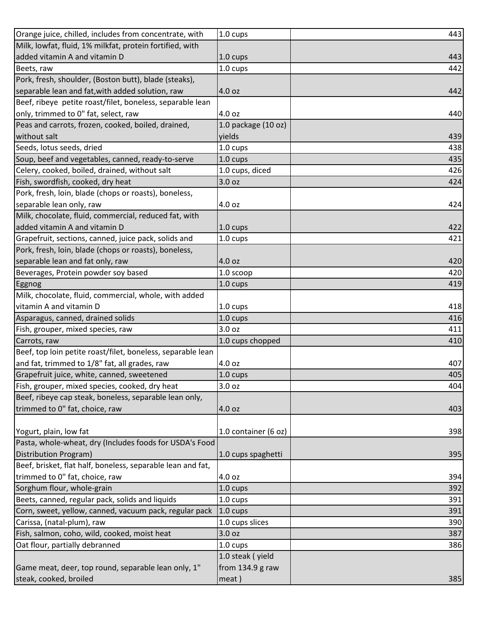| Orange juice, chilled, includes from concentrate, with      | 1.0 cups             | 443 |
|-------------------------------------------------------------|----------------------|-----|
| Milk, lowfat, fluid, 1% milkfat, protein fortified, with    |                      |     |
| added vitamin A and vitamin D                               | 1.0 cups             | 443 |
| Beets, raw                                                  | 1.0 cups             | 442 |
| Pork, fresh, shoulder, (Boston butt), blade (steaks),       |                      |     |
| separable lean and fat, with added solution, raw            | 4.0 oz               | 442 |
| Beef, ribeye petite roast/filet, boneless, separable lean   |                      |     |
| only, trimmed to 0" fat, select, raw                        | 4.0 oz               | 440 |
| Peas and carrots, frozen, cooked, boiled, drained,          | 1.0 package (10 oz)  |     |
| without salt                                                | yields               | 439 |
| Seeds, lotus seeds, dried                                   | 1.0 cups             | 438 |
| Soup, beef and vegetables, canned, ready-to-serve           | 1.0 cups             | 435 |
| Celery, cooked, boiled, drained, without salt               | 1.0 cups, diced      | 426 |
| Fish, swordfish, cooked, dry heat                           | 3.0 oz               | 424 |
| Pork, fresh, loin, blade (chops or roasts), boneless,       |                      |     |
| separable lean only, raw                                    | 4.0 oz               | 424 |
| Milk, chocolate, fluid, commercial, reduced fat, with       |                      |     |
| added vitamin A and vitamin D                               | 1.0 cups             | 422 |
| Grapefruit, sections, canned, juice pack, solids and        | 1.0 cups             | 421 |
| Pork, fresh, loin, blade (chops or roasts), boneless,       |                      |     |
| separable lean and fat only, raw                            | 4.0 oz               | 420 |
| Beverages, Protein powder soy based                         | 1.0 scoop            | 420 |
| Eggnog                                                      | 1.0 cups             | 419 |
| Milk, chocolate, fluid, commercial, whole, with added       |                      |     |
| vitamin A and vitamin D                                     | 1.0 cups             | 418 |
| Asparagus, canned, drained solids                           | 1.0 cups             | 416 |
| Fish, grouper, mixed species, raw                           | 3.0 <sub>oz</sub>    | 411 |
| Carrots, raw                                                | 1.0 cups chopped     | 410 |
| Beef, top loin petite roast/filet, boneless, separable lean |                      |     |
| and fat, trimmed to 1/8" fat, all grades, raw               | 4.0 oz               | 407 |
| Grapefruit juice, white, canned, sweetened                  | 1.0 cups             | 405 |
| Fish, grouper, mixed species, cooked, dry heat              | 3.0 oz               | 404 |
| Beef, ribeye cap steak, boneless, separable lean only,      |                      |     |
| trimmed to 0" fat, choice, raw                              | 4.0 oz               | 403 |
|                                                             |                      |     |
| Yogurt, plain, low fat                                      | 1.0 container (6 oz) | 398 |
| Pasta, whole-wheat, dry (Includes foods for USDA's Food     |                      |     |
| Distribution Program)                                       | 1.0 cups spaghetti   | 395 |
| Beef, brisket, flat half, boneless, separable lean and fat, |                      |     |
| trimmed to 0" fat, choice, raw                              | 4.0 oz               | 394 |
| Sorghum flour, whole-grain                                  | 1.0 cups             | 392 |
| Beets, canned, regular pack, solids and liquids             | 1.0 cups             | 391 |
| Corn, sweet, yellow, canned, vacuum pack, regular pack      | 1.0 cups             | 391 |
| Carissa, (natal-plum), raw                                  | 1.0 cups slices      | 390 |
| Fish, salmon, coho, wild, cooked, moist heat                | 3.0 oz               | 387 |
| Oat flour, partially debranned                              | 1.0 cups             | 386 |
|                                                             | 1.0 steak (yield     |     |
| Game meat, deer, top round, separable lean only, 1"         | from 134.9 g raw     |     |
| steak, cooked, broiled                                      | meat)                | 385 |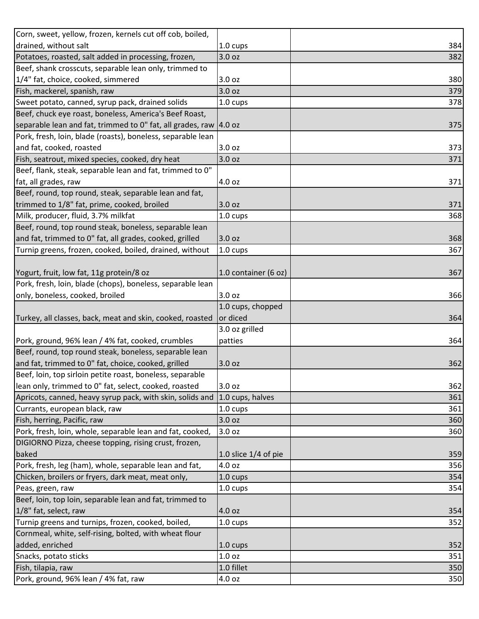| Corn, sweet, yellow, frozen, kernels cut off cob, boiled,         |                        |     |
|-------------------------------------------------------------------|------------------------|-----|
| drained, without salt                                             | 1.0 cups               | 384 |
| Potatoes, roasted, salt added in processing, frozen,              | 3.0 oz                 | 382 |
| Beef, shank crosscuts, separable lean only, trimmed to            |                        |     |
| 1/4" fat, choice, cooked, simmered                                | 3.0 <sub>oz</sub>      | 380 |
| Fish, mackerel, spanish, raw                                      | 3.0 oz                 | 379 |
| Sweet potato, canned, syrup pack, drained solids                  | 1.0 cups               | 378 |
| Beef, chuck eye roast, boneless, America's Beef Roast,            |                        |     |
| separable lean and fat, trimmed to 0" fat, all grades, raw 4.0 oz |                        | 375 |
| Pork, fresh, loin, blade (roasts), boneless, separable lean       |                        |     |
| and fat, cooked, roasted                                          | 3.0 oz                 | 373 |
| Fish, seatrout, mixed species, cooked, dry heat                   | 3.0 oz                 | 371 |
| Beef, flank, steak, separable lean and fat, trimmed to 0"         |                        |     |
| fat, all grades, raw                                              | 4.0 oz                 | 371 |
| Beef, round, top round, steak, separable lean and fat,            |                        |     |
| trimmed to 1/8" fat, prime, cooked, broiled                       | 3.0 oz                 | 371 |
| Milk, producer, fluid, 3.7% milkfat                               | 1.0 cups               | 368 |
| Beef, round, top round steak, boneless, separable lean            |                        |     |
| and fat, trimmed to 0" fat, all grades, cooked, grilled           | 3.0 oz                 | 368 |
| Turnip greens, frozen, cooked, boiled, drained, without           | 1.0 cups               | 367 |
|                                                                   |                        |     |
| Yogurt, fruit, low fat, 11g protein/8 oz                          | 1.0 container (6 oz)   | 367 |
| Pork, fresh, loin, blade (chops), boneless, separable lean        |                        |     |
| only, boneless, cooked, broiled                                   | 3.0 oz                 | 366 |
|                                                                   | 1.0 cups, chopped      |     |
| Turkey, all classes, back, meat and skin, cooked, roasted         | or diced               | 364 |
|                                                                   | 3.0 oz grilled         |     |
| Pork, ground, 96% lean / 4% fat, cooked, crumbles                 | patties                | 364 |
| Beef, round, top round steak, boneless, separable lean            |                        |     |
| and fat, trimmed to 0" fat, choice, cooked, grilled               | 3.0 oz                 | 362 |
| Beef, loin, top sirloin petite roast, boneless, separable         |                        |     |
| lean only, trimmed to 0" fat, select, cooked, roasted             | 3.0 oz                 | 362 |
| Apricots, canned, heavy syrup pack, with skin, solids and         | 1.0 cups, halves       | 361 |
| Currants, european black, raw                                     | 1.0 cups               | 361 |
| Fish, herring, Pacific, raw                                       | 3.0 oz                 | 360 |
| Pork, fresh, loin, whole, separable lean and fat, cooked,         | 3.0 oz                 | 360 |
| DIGIORNO Pizza, cheese topping, rising crust, frozen,             |                        |     |
| baked                                                             | 1.0 slice $1/4$ of pie | 359 |
| Pork, fresh, leg (ham), whole, separable lean and fat,            | 4.0 oz                 | 356 |
| Chicken, broilers or fryers, dark meat, meat only,                | 1.0 cups               | 354 |
| Peas, green, raw                                                  | 1.0 cups               | 354 |
| Beef, loin, top loin, separable lean and fat, trimmed to          |                        |     |
| 1/8" fat, select, raw                                             | 4.0 oz                 | 354 |
| Turnip greens and turnips, frozen, cooked, boiled,                | 1.0 cups               | 352 |
| Cornmeal, white, self-rising, bolted, with wheat flour            |                        |     |
| added, enriched                                                   | 1.0 cups               | 352 |
| Snacks, potato sticks                                             | 1.0 oz                 | 351 |
| Fish, tilapia, raw                                                | 1.0 fillet             | 350 |
| Pork, ground, 96% lean / 4% fat, raw                              | 4.0 oz                 | 350 |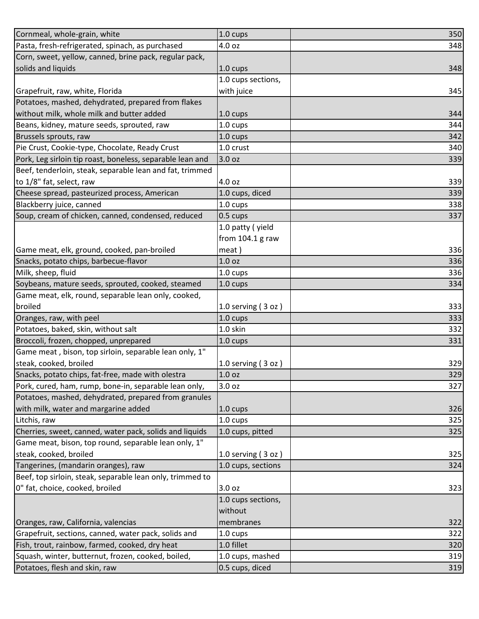| Cornmeal, whole-grain, white                              | 1.0 cups             | 350 |
|-----------------------------------------------------------|----------------------|-----|
| Pasta, fresh-refrigerated, spinach, as purchased          | 4.0 oz               | 348 |
| Corn, sweet, yellow, canned, brine pack, regular pack,    |                      |     |
| solids and liquids                                        | 1.0 cups             | 348 |
|                                                           | 1.0 cups sections,   |     |
| Grapefruit, raw, white, Florida                           | with juice           | 345 |
| Potatoes, mashed, dehydrated, prepared from flakes        |                      |     |
| without milk, whole milk and butter added                 | 1.0 cups             | 344 |
| Beans, kidney, mature seeds, sprouted, raw                | 1.0 cups             | 344 |
| Brussels sprouts, raw                                     | 1.0 cups             | 342 |
| Pie Crust, Cookie-type, Chocolate, Ready Crust            | 1.0 crust            | 340 |
| Pork, Leg sirloin tip roast, boneless, separable lean and | 3.0 oz               | 339 |
| Beef, tenderloin, steak, separable lean and fat, trimmed  |                      |     |
| to 1/8" fat, select, raw                                  | 4.0 oz               | 339 |
| Cheese spread, pasteurized process, American              | 1.0 cups, diced      | 339 |
| Blackberry juice, canned                                  | 1.0 cups             | 338 |
| Soup, cream of chicken, canned, condensed, reduced        | $0.5 \text{ cups}$   | 337 |
|                                                           | 1.0 patty (yield     |     |
|                                                           | from $104.1$ g raw   |     |
| Game meat, elk, ground, cooked, pan-broiled               | meat)                | 336 |
| Snacks, potato chips, barbecue-flavor                     | 1.0 <sub>oz</sub>    | 336 |
| Milk, sheep, fluid                                        | 1.0 cups             | 336 |
| Soybeans, mature seeds, sprouted, cooked, steamed         | 1.0 cups             | 334 |
| Game meat, elk, round, separable lean only, cooked,       |                      |     |
| broiled                                                   | 1.0 serving $(3 oz)$ | 333 |
| Oranges, raw, with peel                                   | 1.0 cups             | 333 |
| Potatoes, baked, skin, without salt                       | 1.0 skin             | 332 |
| Broccoli, frozen, chopped, unprepared                     | 1.0 cups             | 331 |
| Game meat, bison, top sirloin, separable lean only, 1"    |                      |     |
| steak, cooked, broiled                                    | 1.0 serving $(3 oz)$ | 329 |
| Snacks, potato chips, fat-free, made with olestra         | 1.0 <sub>oz</sub>    | 329 |
| Pork, cured, ham, rump, bone-in, separable lean only,     | 3.0 oz               | 327 |
| Potatoes, mashed, dehydrated, prepared from granules      |                      |     |
| with milk, water and margarine added                      | 1.0 cups             | 326 |
| Litchis, raw                                              | 1.0 cups             | 325 |
| Cherries, sweet, canned, water pack, solids and liquids   | 1.0 cups, pitted     | 325 |
| Game meat, bison, top round, separable lean only, 1"      |                      |     |
| steak, cooked, broiled                                    | 1.0 serving $(3 oz)$ | 325 |
| Tangerines, (mandarin oranges), raw                       | 1.0 cups, sections   | 324 |
| Beef, top sirloin, steak, separable lean only, trimmed to |                      |     |
| 0" fat, choice, cooked, broiled                           | 3.0 oz               | 323 |
|                                                           | 1.0 cups sections,   |     |
|                                                           | without              |     |
| Oranges, raw, California, valencias                       | membranes            | 322 |
| Grapefruit, sections, canned, water pack, solids and      | 1.0 cups             | 322 |
| Fish, trout, rainbow, farmed, cooked, dry heat            | 1.0 fillet           | 320 |
| Squash, winter, butternut, frozen, cooked, boiled,        | 1.0 cups, mashed     | 319 |
| Potatoes, flesh and skin, raw                             | 0.5 cups, diced      | 319 |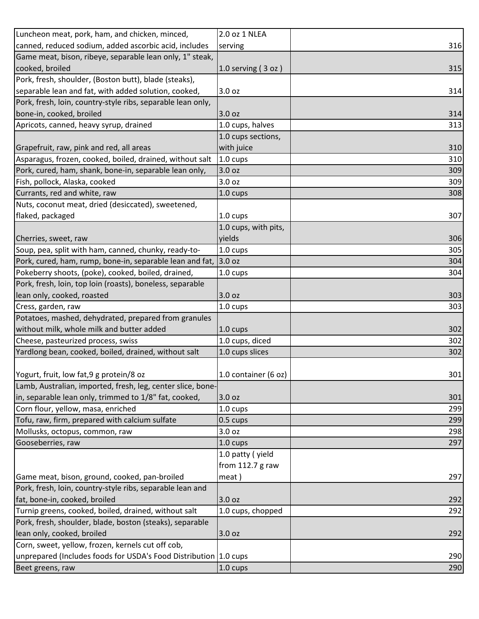| Luncheon meat, pork, ham, and chicken, minced,                   | 2.0 oz 1 NLEA        |     |
|------------------------------------------------------------------|----------------------|-----|
| canned, reduced sodium, added ascorbic acid, includes            | serving              | 316 |
| Game meat, bison, ribeye, separable lean only, 1" steak,         |                      |     |
| cooked, broiled                                                  | $1.0$ serving (3 oz) | 315 |
| Pork, fresh, shoulder, (Boston butt), blade (steaks),            |                      |     |
| separable lean and fat, with added solution, cooked,             | 3.0 oz               | 314 |
| Pork, fresh, loin, country-style ribs, separable lean only,      |                      |     |
| bone-in, cooked, broiled                                         | 3.0 <sub>oz</sub>    | 314 |
| Apricots, canned, heavy syrup, drained                           | 1.0 cups, halves     | 313 |
|                                                                  | 1.0 cups sections,   |     |
| Grapefruit, raw, pink and red, all areas                         | with juice           | 310 |
| Asparagus, frozen, cooked, boiled, drained, without salt         | 1.0 cups             | 310 |
| Pork, cured, ham, shank, bone-in, separable lean only,           | 3.0 oz               | 309 |
| Fish, pollock, Alaska, cooked                                    | 3.0 oz               | 309 |
| Currants, red and white, raw                                     | $1.0 \text{ cups}$   | 308 |
| Nuts, coconut meat, dried (desiccated), sweetened,               |                      |     |
| flaked, packaged                                                 | 1.0 cups             | 307 |
|                                                                  | 1.0 cups, with pits, |     |
| Cherries, sweet, raw                                             | yields               | 306 |
| Soup, pea, split with ham, canned, chunky, ready-to-             | 1.0 cups             | 305 |
| Pork, cured, ham, rump, bone-in, separable lean and fat,         | 3.0 oz               | 304 |
| Pokeberry shoots, (poke), cooked, boiled, drained,               | $1.0 \text{ cups}$   | 304 |
| Pork, fresh, loin, top loin (roasts), boneless, separable        |                      |     |
| lean only, cooked, roasted                                       | 3.0 oz               | 303 |
| Cress, garden, raw                                               | 1.0 cups             | 303 |
| Potatoes, mashed, dehydrated, prepared from granules             |                      |     |
| without milk, whole milk and butter added                        | 1.0 cups             | 302 |
| Cheese, pasteurized process, swiss                               | 1.0 cups, diced      | 302 |
| Yardlong bean, cooked, boiled, drained, without salt             | 1.0 cups slices      | 302 |
|                                                                  |                      |     |
| Yogurt, fruit, low fat, 9 g protein/8 oz                         | 1.0 container (6 oz) | 301 |
| Lamb, Australian, imported, fresh, leg, center slice, bone-      |                      |     |
| in, separable lean only, trimmed to 1/8" fat, cooked,            | 3.0 oz               | 301 |
| Corn flour, yellow, masa, enriched                               | $1.0 \text{ cups}$   | 299 |
| Tofu, raw, firm, prepared with calcium sulfate                   | 0.5 cups             | 299 |
| Mollusks, octopus, common, raw                                   | 3.0 oz               | 298 |
| Gooseberries, raw                                                | $1.0 \text{ cups}$   | 297 |
|                                                                  | 1.0 patty (yield     |     |
|                                                                  | from 112.7 g raw     |     |
| Game meat, bison, ground, cooked, pan-broiled                    | meat)                | 297 |
| Pork, fresh, loin, country-style ribs, separable lean and        |                      |     |
| fat, bone-in, cooked, broiled                                    | 3.0 oz               | 292 |
| Turnip greens, cooked, boiled, drained, without salt             | 1.0 cups, chopped    | 292 |
| Pork, fresh, shoulder, blade, boston (steaks), separable         |                      |     |
| lean only, cooked, broiled                                       | 3.0 oz               | 292 |
| Corn, sweet, yellow, frozen, kernels cut off cob,                |                      |     |
| unprepared (Includes foods for USDA's Food Distribution 1.0 cups |                      | 290 |
| Beet greens, raw                                                 | 1.0 cups             | 290 |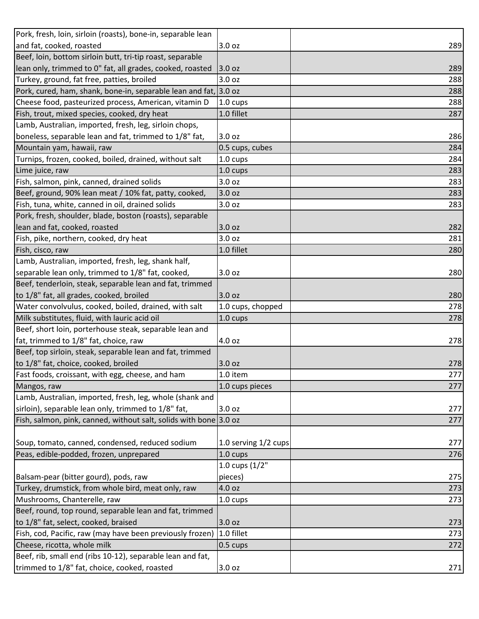| Pork, fresh, loin, sirloin (roasts), bone-in, separable lean      |                      |     |
|-------------------------------------------------------------------|----------------------|-----|
| and fat, cooked, roasted                                          | 3.0 oz               | 289 |
| Beef, loin, bottom sirloin butt, tri-tip roast, separable         |                      |     |
| lean only, trimmed to 0" fat, all grades, cooked, roasted         | 3.0 oz               | 289 |
| Turkey, ground, fat free, patties, broiled                        | 3.0 oz               | 288 |
| Pork, cured, ham, shank, bone-in, separable lean and fat, 3.0 oz  |                      | 288 |
| Cheese food, pasteurized process, American, vitamin D             | 1.0 cups             | 288 |
| Fish, trout, mixed species, cooked, dry heat                      | 1.0 fillet           | 287 |
| Lamb, Australian, imported, fresh, leg, sirloin chops,            |                      |     |
| boneless, separable lean and fat, trimmed to 1/8" fat,            | 3.0 oz               | 286 |
| Mountain yam, hawaii, raw                                         | 0.5 cups, cubes      | 284 |
| Turnips, frozen, cooked, boiled, drained, without salt            | 1.0 cups             | 284 |
| Lime juice, raw                                                   | $1.0 \text{ cups}$   | 283 |
| Fish, salmon, pink, canned, drained solids                        | 3.0 oz               | 283 |
| Beef, ground, 90% lean meat / 10% fat, patty, cooked,             | 3.0 oz               | 283 |
| Fish, tuna, white, canned in oil, drained solids                  | 3.0 oz               | 283 |
| Pork, fresh, shoulder, blade, boston (roasts), separable          |                      |     |
| lean and fat, cooked, roasted                                     | 3.0 oz               | 282 |
| Fish, pike, northern, cooked, dry heat                            | 3.0 oz               | 281 |
| Fish, cisco, raw                                                  | 1.0 fillet           | 280 |
| Lamb, Australian, imported, fresh, leg, shank half,               |                      |     |
| separable lean only, trimmed to 1/8" fat, cooked,                 | 3.0 oz               | 280 |
| Beef, tenderloin, steak, separable lean and fat, trimmed          |                      |     |
| to 1/8" fat, all grades, cooked, broiled                          | 3.0 oz               | 280 |
| Water convolvulus, cooked, boiled, drained, with salt             | 1.0 cups, chopped    | 278 |
| Milk substitutes, fluid, with lauric acid oil                     | 1.0 cups             | 278 |
| Beef, short loin, porterhouse steak, separable lean and           |                      |     |
| fat, trimmed to 1/8" fat, choice, raw                             | 4.0 oz               | 278 |
| Beef, top sirloin, steak, separable lean and fat, trimmed         |                      |     |
| to 1/8" fat, choice, cooked, broiled                              | 3.0 oz               | 278 |
| Fast foods, croissant, with egg, cheese, and ham                  | 1.0 item             | 277 |
| Mangos, raw                                                       | 1.0 cups pieces      | 277 |
| Lamb, Australian, imported, fresh, leg, whole (shank and          |                      |     |
| sirloin), separable lean only, trimmed to 1/8" fat,               | 3.0 oz               | 277 |
| Fish, salmon, pink, canned, without salt, solids with bone 3.0 oz |                      | 277 |
|                                                                   |                      |     |
| Soup, tomato, canned, condensed, reduced sodium                   | 1.0 serving 1/2 cups | 277 |
| Peas, edible-podded, frozen, unprepared                           | 1.0 cups             | 276 |
|                                                                   | 1.0 cups $(1/2"$     |     |
| Balsam-pear (bitter gourd), pods, raw                             | pieces)              | 275 |
| Turkey, drumstick, from whole bird, meat only, raw                | 4.0 oz               | 273 |
| Mushrooms, Chanterelle, raw                                       | 1.0 cups             | 273 |
| Beef, round, top round, separable lean and fat, trimmed           |                      |     |
| to 1/8" fat, select, cooked, braised                              | 3.0 oz               | 273 |
| Fish, cod, Pacific, raw (may have been previously frozen)         | 1.0 fillet           | 273 |
| Cheese, ricotta, whole milk                                       | 0.5 cups             | 272 |
| Beef, rib, small end (ribs 10-12), separable lean and fat,        |                      |     |
| trimmed to 1/8" fat, choice, cooked, roasted                      | 3.0 oz               | 271 |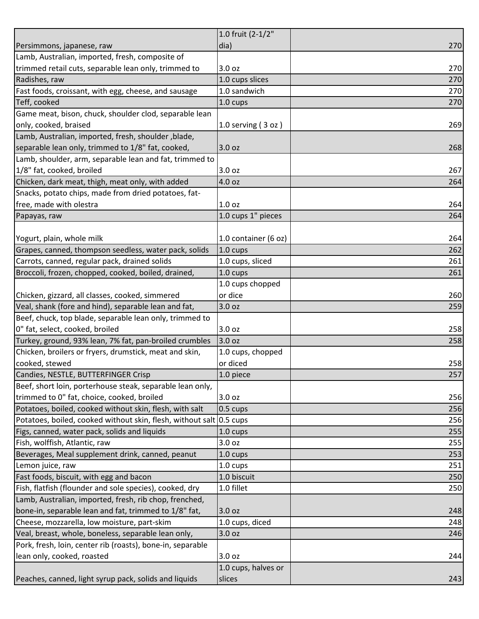|                                                                     | 1.0 fruit (2-1/2"    |     |
|---------------------------------------------------------------------|----------------------|-----|
| Persimmons, japanese, raw                                           | dia)                 | 270 |
| Lamb, Australian, imported, fresh, composite of                     |                      |     |
| trimmed retail cuts, separable lean only, trimmed to                | 3.0 <sub>oz</sub>    | 270 |
| Radishes, raw                                                       | 1.0 cups slices      | 270 |
| Fast foods, croissant, with egg, cheese, and sausage                | 1.0 sandwich         | 270 |
| Teff, cooked                                                        | $1.0 \text{ cups}$   | 270 |
| Game meat, bison, chuck, shoulder clod, separable lean              |                      |     |
| only, cooked, braised                                               | 1.0 serving $(3 oz)$ | 269 |
| Lamb, Australian, imported, fresh, shoulder, blade,                 |                      |     |
| separable lean only, trimmed to 1/8" fat, cooked,                   | 3.0 oz               | 268 |
| Lamb, shoulder, arm, separable lean and fat, trimmed to             |                      |     |
| 1/8" fat, cooked, broiled                                           | 3.0 oz               | 267 |
| Chicken, dark meat, thigh, meat only, with added                    | 4.0 oz               | 264 |
| Snacks, potato chips, made from dried potatoes, fat-                |                      |     |
| free, made with olestra                                             | 1.0 <sub>oz</sub>    | 264 |
| Papayas, raw                                                        | 1.0 cups 1" pieces   | 264 |
|                                                                     |                      |     |
| Yogurt, plain, whole milk                                           | 1.0 container (6 oz) | 264 |
| Grapes, canned, thompson seedless, water pack, solids               | $1.0 \text{ cups}$   | 262 |
| Carrots, canned, regular pack, drained solids                       | 1.0 cups, sliced     | 261 |
| Broccoli, frozen, chopped, cooked, boiled, drained,                 | 1.0 cups             | 261 |
|                                                                     | 1.0 cups chopped     |     |
| Chicken, gizzard, all classes, cooked, simmered                     | or dice              | 260 |
| Veal, shank (fore and hind), separable lean and fat,                | 3.0 oz               | 259 |
| Beef, chuck, top blade, separable lean only, trimmed to             |                      |     |
| 0" fat, select, cooked, broiled                                     | 3.0 oz               | 258 |
| Turkey, ground, 93% lean, 7% fat, pan-broiled crumbles              | 3.0 oz               | 258 |
| Chicken, broilers or fryers, drumstick, meat and skin,              | 1.0 cups, chopped    |     |
| cooked, stewed                                                      | or diced             | 258 |
| Candies, NESTLE, BUTTERFINGER Crisp                                 | 1.0 piece            | 257 |
| Beef, short loin, porterhouse steak, separable lean only,           |                      |     |
| trimmed to 0" fat, choice, cooked, broiled                          | 3.0 oz               | 256 |
| Potatoes, boiled, cooked without skin, flesh, with salt             | $0.5 \text{ cups}$   | 256 |
| Potatoes, boiled, cooked without skin, flesh, without salt 0.5 cups |                      | 256 |
| Figs, canned, water pack, solids and liquids                        | 1.0 cups             | 255 |
| Fish, wolffish, Atlantic, raw                                       | 3.0 oz               | 255 |
| Beverages, Meal supplement drink, canned, peanut                    | $1.0 \text{ cups}$   | 253 |
| Lemon juice, raw                                                    | 1.0 cups             | 251 |
| Fast foods, biscuit, with egg and bacon                             | 1.0 biscuit          | 250 |
| Fish, flatfish (flounder and sole species), cooked, dry             | 1.0 fillet           | 250 |
| Lamb, Australian, imported, fresh, rib chop, frenched,              |                      |     |
| bone-in, separable lean and fat, trimmed to 1/8" fat,               | 3.0 oz               | 248 |
| Cheese, mozzarella, low moisture, part-skim                         | 1.0 cups, diced      | 248 |
| Veal, breast, whole, boneless, separable lean only,                 | 3.0 oz               | 246 |
| Pork, fresh, loin, center rib (roasts), bone-in, separable          |                      |     |
| lean only, cooked, roasted                                          | 3.0 oz               | 244 |
|                                                                     | 1.0 cups, halves or  |     |
| Peaches, canned, light syrup pack, solids and liquids               | slices               | 243 |
|                                                                     |                      |     |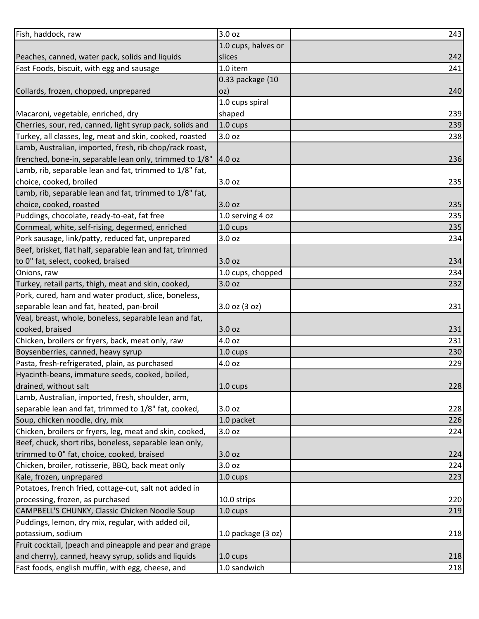| Fish, haddock, raw                                        | 3.0 oz               | 243 |
|-----------------------------------------------------------|----------------------|-----|
|                                                           | 1.0 cups, halves or  |     |
| Peaches, canned, water pack, solids and liquids           | slices               | 242 |
| Fast Foods, biscuit, with egg and sausage                 | 1.0 item             | 241 |
|                                                           | 0.33 package (10     |     |
| Collards, frozen, chopped, unprepared                     | OZ)                  | 240 |
|                                                           | 1.0 cups spiral      |     |
| Macaroni, vegetable, enriched, dry                        | shaped               | 239 |
| Cherries, sour, red, canned, light syrup pack, solids and | 1.0 cups             | 239 |
| Turkey, all classes, leg, meat and skin, cooked, roasted  | 3.0 oz               | 238 |
| Lamb, Australian, imported, fresh, rib chop/rack roast,   |                      |     |
| frenched, bone-in, separable lean only, trimmed to 1/8"   | 4.0 oz               | 236 |
| Lamb, rib, separable lean and fat, trimmed to 1/8" fat,   |                      |     |
| choice, cooked, broiled                                   | 3.0 oz               | 235 |
| Lamb, rib, separable lean and fat, trimmed to 1/8" fat,   |                      |     |
| choice, cooked, roasted                                   | 3.0 oz               | 235 |
| Puddings, chocolate, ready-to-eat, fat free               | 1.0 serving 4 oz     | 235 |
| Cornmeal, white, self-rising, degermed, enriched          | 1.0 cups             | 235 |
| Pork sausage, link/patty, reduced fat, unprepared         | 3.0 oz               | 234 |
| Beef, brisket, flat half, separable lean and fat, trimmed |                      |     |
| to 0" fat, select, cooked, braised                        | 3.0 oz               | 234 |
| Onions, raw                                               | 1.0 cups, chopped    | 234 |
| Turkey, retail parts, thigh, meat and skin, cooked,       | 3.0 oz               | 232 |
| Pork, cured, ham and water product, slice, boneless,      |                      |     |
| separable lean and fat, heated, pan-broil                 | $3.0$ oz $(3$ oz)    | 231 |
| Veal, breast, whole, boneless, separable lean and fat,    |                      |     |
| cooked, braised                                           | 3.0 oz               | 231 |
| Chicken, broilers or fryers, back, meat only, raw         | 4.0 oz               | 231 |
| Boysenberries, canned, heavy syrup                        | 1.0 cups             | 230 |
| Pasta, fresh-refrigerated, plain, as purchased            | 4.0 oz               | 229 |
| Hyacinth-beans, immature seeds, cooked, boiled,           |                      |     |
| drained, without salt                                     | 1.0 cups             | 228 |
| Lamb, Australian, imported, fresh, shoulder, arm,         |                      |     |
| separable lean and fat, trimmed to 1/8" fat, cooked,      | 3.0 oz               | 228 |
| Soup, chicken noodle, dry, mix                            | 1.0 packet           | 226 |
| Chicken, broilers or fryers, leg, meat and skin, cooked,  | 3.0 oz               | 224 |
| Beef, chuck, short ribs, boneless, separable lean only,   |                      |     |
| trimmed to 0" fat, choice, cooked, braised                | 3.0 oz               | 224 |
| Chicken, broiler, rotisserie, BBQ, back meat only         | 3.0 oz               | 224 |
| Kale, frozen, unprepared                                  | 1.0 cups             | 223 |
| Potatoes, french fried, cottage-cut, salt not added in    |                      |     |
| processing, frozen, as purchased                          | 10.0 strips          | 220 |
| CAMPBELL'S CHUNKY, Classic Chicken Noodle Soup            | $1.0 \text{ cups}$   | 219 |
| Puddings, lemon, dry mix, regular, with added oil,        |                      |     |
| potassium, sodium                                         | 1.0 package $(3 oz)$ | 218 |
| Fruit cocktail, (peach and pineapple and pear and grape   |                      |     |
| and cherry), canned, heavy syrup, solids and liquids      | 1.0 cups             | 218 |
| Fast foods, english muffin, with egg, cheese, and         | 1.0 sandwich         | 218 |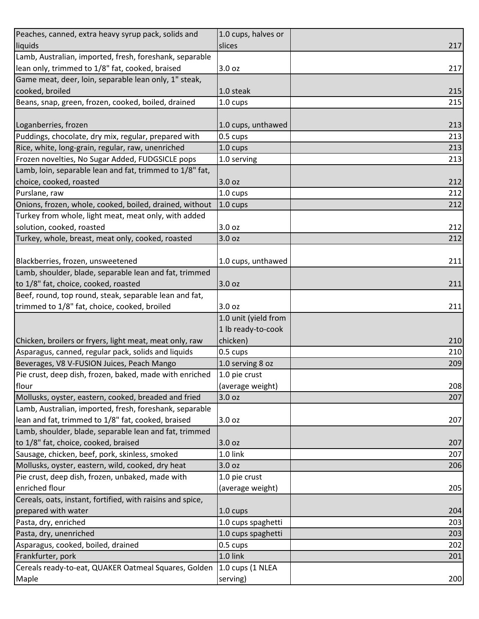| Peaches, canned, extra heavy syrup pack, solids and        | 1.0 cups, halves or  |     |
|------------------------------------------------------------|----------------------|-----|
| liquids                                                    | slices               | 217 |
| Lamb, Australian, imported, fresh, foreshank, separable    |                      |     |
| lean only, trimmed to 1/8" fat, cooked, braised            | 3.0 oz               | 217 |
| Game meat, deer, loin, separable lean only, 1" steak,      |                      |     |
| cooked, broiled                                            | 1.0 steak            | 215 |
| Beans, snap, green, frozen, cooked, boiled, drained        | 1.0 cups             | 215 |
|                                                            |                      |     |
| Loganberries, frozen                                       | 1.0 cups, unthawed   | 213 |
| Puddings, chocolate, dry mix, regular, prepared with       | 0.5 cups             | 213 |
| Rice, white, long-grain, regular, raw, unenriched          | 1.0 cups             | 213 |
| Frozen novelties, No Sugar Added, FUDGSICLE pops           | 1.0 serving          | 213 |
| Lamb, loin, separable lean and fat, trimmed to 1/8" fat,   |                      |     |
| choice, cooked, roasted                                    | 3.0 oz               | 212 |
| Purslane, raw                                              | 1.0 cups             | 212 |
| Onions, frozen, whole, cooked, boiled, drained, without    | 1.0 cups             | 212 |
| Turkey from whole, light meat, meat only, with added       |                      |     |
| solution, cooked, roasted                                  | 3.0 oz               | 212 |
| Turkey, whole, breast, meat only, cooked, roasted          | 3.0 oz               | 212 |
|                                                            |                      |     |
| Blackberries, frozen, unsweetened                          | 1.0 cups, unthawed   | 211 |
| Lamb, shoulder, blade, separable lean and fat, trimmed     |                      |     |
| to 1/8" fat, choice, cooked, roasted                       | 3.0 oz               | 211 |
| Beef, round, top round, steak, separable lean and fat,     |                      |     |
| trimmed to 1/8" fat, choice, cooked, broiled               | 3.0 <sub>oz</sub>    | 211 |
|                                                            | 1.0 unit (yield from |     |
|                                                            | 1 lb ready-to-cook   |     |
| Chicken, broilers or fryers, light meat, meat only, raw    | chicken)             | 210 |
| Asparagus, canned, regular pack, solids and liquids        | 0.5 cups             | 210 |
| Beverages, V8 V-FUSION Juices, Peach Mango                 | 1.0 serving 8 oz     | 209 |
| Pie crust, deep dish, frozen, baked, made with enriched    | 1.0 pie crust        |     |
| flour                                                      | (average weight)     | 208 |
| Mollusks, oyster, eastern, cooked, breaded and fried       | 3.0 <sub>oz</sub>    | 207 |
| Lamb, Australian, imported, fresh, foreshank, separable    |                      |     |
| lean and fat, trimmed to 1/8" fat, cooked, braised         | 3.0 oz               | 207 |
| Lamb, shoulder, blade, separable lean and fat, trimmed     |                      |     |
| to 1/8" fat, choice, cooked, braised                       | 3.0 oz               | 207 |
| Sausage, chicken, beef, pork, skinless, smoked             | 1.0 link             | 207 |
| Mollusks, oyster, eastern, wild, cooked, dry heat          | 3.0 <sub>oz</sub>    | 206 |
| Pie crust, deep dish, frozen, unbaked, made with           | 1.0 pie crust        |     |
| enriched flour                                             | (average weight)     | 205 |
| Cereals, oats, instant, fortified, with raisins and spice, |                      |     |
| prepared with water                                        | 1.0 cups             | 204 |
| Pasta, dry, enriched                                       | 1.0 cups spaghetti   | 203 |
| Pasta, dry, unenriched                                     | 1.0 cups spaghetti   | 203 |
| Asparagus, cooked, boiled, drained                         | 0.5 cups             | 202 |
| Frankfurter, pork                                          | 1.0 link             | 201 |
| Cereals ready-to-eat, QUAKER Oatmeal Squares, Golden       | 1.0 cups (1 NLEA     |     |
| Maple                                                      | serving)             | 200 |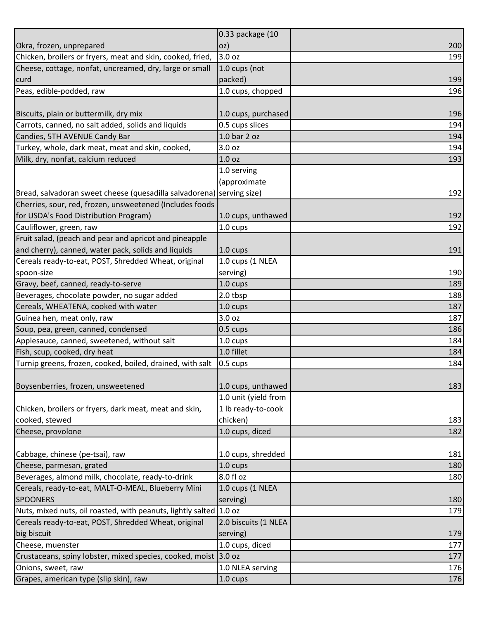|                                                                       | 0.33 package (10     |     |
|-----------------------------------------------------------------------|----------------------|-----|
| Okra, frozen, unprepared                                              | OZ)                  | 200 |
| Chicken, broilers or fryers, meat and skin, cooked, fried,            | 3.0 oz               | 199 |
| Cheese, cottage, nonfat, uncreamed, dry, large or small               | 1.0 cups (not        |     |
| curd                                                                  | packed)              | 199 |
| Peas, edible-podded, raw                                              | 1.0 cups, chopped    | 196 |
|                                                                       |                      |     |
| Biscuits, plain or buttermilk, dry mix                                | 1.0 cups, purchased  | 196 |
| Carrots, canned, no salt added, solids and liquids                    | 0.5 cups slices      | 194 |
| Candies, 5TH AVENUE Candy Bar                                         | 1.0 bar 2 oz         | 194 |
| Turkey, whole, dark meat, meat and skin, cooked,                      | 3.0 <sub>oz</sub>    | 194 |
| Milk, dry, nonfat, calcium reduced                                    | 1.0 <sub>oz</sub>    | 193 |
|                                                                       | 1.0 serving          |     |
|                                                                       | (approximate         |     |
| Bread, salvadoran sweet cheese (quesadilla salvadorena) serving size) |                      | 192 |
| Cherries, sour, red, frozen, unsweetened (Includes foods              |                      |     |
| for USDA's Food Distribution Program)                                 | 1.0 cups, unthawed   | 192 |
| Cauliflower, green, raw                                               | $1.0 \text{ cups}$   | 192 |
| Fruit salad, (peach and pear and apricot and pineapple                |                      |     |
| and cherry), canned, water pack, solids and liquids                   | 1.0 cups             | 191 |
| Cereals ready-to-eat, POST, Shredded Wheat, original                  | 1.0 cups (1 NLEA     |     |
| spoon-size                                                            | serving)             | 190 |
| Gravy, beef, canned, ready-to-serve                                   | 1.0 cups             | 189 |
| Beverages, chocolate powder, no sugar added                           | 2.0 tbsp             | 188 |
| Cereals, WHEATENA, cooked with water                                  | $1.0 \text{ cups}$   | 187 |
| Guinea hen, meat only, raw                                            | 3.0 oz               | 187 |
| Soup, pea, green, canned, condensed                                   | 0.5 cups             | 186 |
| Applesauce, canned, sweetened, without salt                           | 1.0 cups             | 184 |
| Fish, scup, cooked, dry heat                                          | 1.0 fillet           | 184 |
| Turnip greens, frozen, cooked, boiled, drained, with salt             | 0.5 cups             | 184 |
|                                                                       |                      |     |
| Boysenberries, frozen, unsweetened                                    | 1.0 cups, unthawed   | 183 |
|                                                                       | 1.0 unit (yield from |     |
| Chicken, broilers or fryers, dark meat, meat and skin,                | 1 lb ready-to-cook   |     |
| cooked, stewed                                                        | chicken)             | 183 |
| Cheese, provolone                                                     | 1.0 cups, diced      | 182 |
|                                                                       |                      |     |
| Cabbage, chinese (pe-tsai), raw                                       | 1.0 cups, shredded   | 181 |
| Cheese, parmesan, grated                                              | 1.0 cups             | 180 |
| Beverages, almond milk, chocolate, ready-to-drink                     | 8.0 fl oz            | 180 |
| Cereals, ready-to-eat, MALT-O-MEAL, Blueberry Mini                    | 1.0 cups (1 NLEA     |     |
| <b>SPOONERS</b>                                                       | serving)             | 180 |
| Nuts, mixed nuts, oil roasted, with peanuts, lightly salted 1.0 oz    |                      | 179 |
| Cereals ready-to-eat, POST, Shredded Wheat, original                  | 2.0 biscuits (1 NLEA |     |
| big biscuit                                                           | serving)             | 179 |
| Cheese, muenster                                                      | 1.0 cups, diced      | 177 |
| Crustaceans, spiny lobster, mixed species, cooked, moist 3.0 oz       |                      | 177 |
| Onions, sweet, raw                                                    | 1.0 NLEA serving     | 176 |
| Grapes, american type (slip skin), raw                                | 1.0 cups             | 176 |
|                                                                       |                      |     |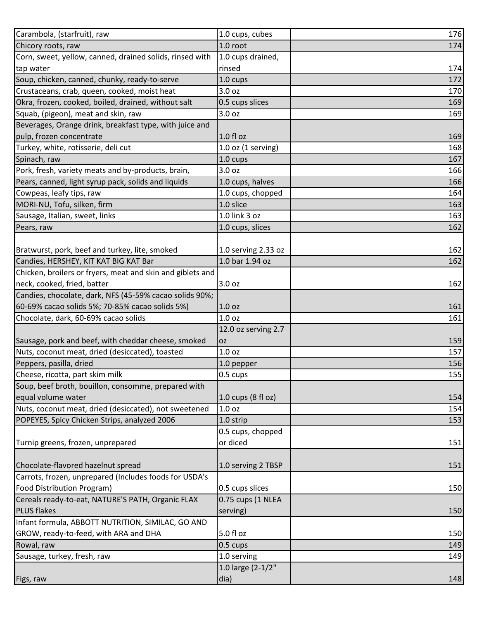| Carambola, (starfruit), raw                                | 1.0 cups, cubes        | 176 |
|------------------------------------------------------------|------------------------|-----|
| Chicory roots, raw                                         | 1.0 root               | 174 |
| Corn, sweet, yellow, canned, drained solids, rinsed with   | 1.0 cups drained,      |     |
| tap water                                                  | rinsed                 | 174 |
| Soup, chicken, canned, chunky, ready-to-serve              | $1.0 \text{ cups}$     | 172 |
| Crustaceans, crab, queen, cooked, moist heat               | 3.0 oz                 | 170 |
| Okra, frozen, cooked, boiled, drained, without salt        | 0.5 cups slices        | 169 |
| Squab, (pigeon), meat and skin, raw                        | 3.0 <sub>oz</sub>      | 169 |
| Beverages, Orange drink, breakfast type, with juice and    |                        |     |
| pulp, frozen concentrate                                   | $1.0f$ l oz            | 169 |
| Turkey, white, rotisserie, deli cut                        | $1.0$ oz $(1$ serving) | 168 |
| Spinach, raw                                               | 1.0 cups               | 167 |
| Pork, fresh, variety meats and by-products, brain,         | 3.0 oz                 | 166 |
| Pears, canned, light syrup pack, solids and liquids        | 1.0 cups, halves       | 166 |
| Cowpeas, leafy tips, raw                                   | 1.0 cups, chopped      | 164 |
| MORI-NU, Tofu, silken, firm                                | 1.0 slice              | 163 |
| Sausage, Italian, sweet, links                             | 1.0 link 3 oz          | 163 |
| Pears, raw                                                 | 1.0 cups, slices       | 162 |
|                                                            |                        |     |
| Bratwurst, pork, beef and turkey, lite, smoked             | 1.0 serving 2.33 oz    | 162 |
| Candies, HERSHEY, KIT KAT BIG KAT Bar                      | 1.0 bar 1.94 oz        | 162 |
| Chicken, broilers or fryers, meat and skin and giblets and |                        |     |
| neck, cooked, fried, batter                                | 3.0 oz                 | 162 |
| Candies, chocolate, dark, NFS (45-59% cacao solids 90%;    |                        |     |
| 60-69% cacao solids 5%; 70-85% cacao solids 5%)            | 1.0 <sub>oz</sub>      | 161 |
| Chocolate, dark, 60-69% cacao solids                       | 1.0 <sub>oz</sub>      | 161 |
|                                                            | 12.0 oz serving 2.7    |     |
| Sausage, pork and beef, with cheddar cheese, smoked        | <b>OZ</b>              | 159 |
| Nuts, coconut meat, dried (desiccated), toasted            | 1.0 <sub>oz</sub>      | 157 |
| Peppers, pasilla, dried                                    | 1.0 pepper             | 156 |
| Cheese, ricotta, part skim milk                            | 0.5 cups               | 155 |
| Soup, beef broth, bouillon, consomme, prepared with        |                        |     |
| equal volume water                                         | 1.0 cups (8 fl oz)     | 154 |
| Nuts, coconut meat, dried (desiccated), not sweetened      | 1.0 <sub>oz</sub>      | 154 |
| POPEYES, Spicy Chicken Strips, analyzed 2006               | 1.0 strip              | 153 |
|                                                            | 0.5 cups, chopped      |     |
| Turnip greens, frozen, unprepared                          | or diced               | 151 |
|                                                            |                        |     |
| Chocolate-flavored hazelnut spread                         | 1.0 serving 2 TBSP     | 151 |
| Carrots, frozen, unprepared (Includes foods for USDA's     |                        |     |
| Food Distribution Program)                                 | 0.5 cups slices        | 150 |
| Cereals ready-to-eat, NATURE'S PATH, Organic FLAX          | 0.75 cups (1 NLEA      |     |
| <b>PLUS flakes</b>                                         | serving)               | 150 |
| Infant formula, ABBOTT NUTRITION, SIMILAC, GO AND          |                        |     |
| GROW, ready-to-feed, with ARA and DHA                      | 5.0 fl oz              | 150 |
| Rowal, raw                                                 | 0.5 cups               | 149 |
| Sausage, turkey, fresh, raw                                | 1.0 serving            | 149 |
|                                                            | 1.0 large (2-1/2"      |     |
| Figs, raw                                                  | dia)                   | 148 |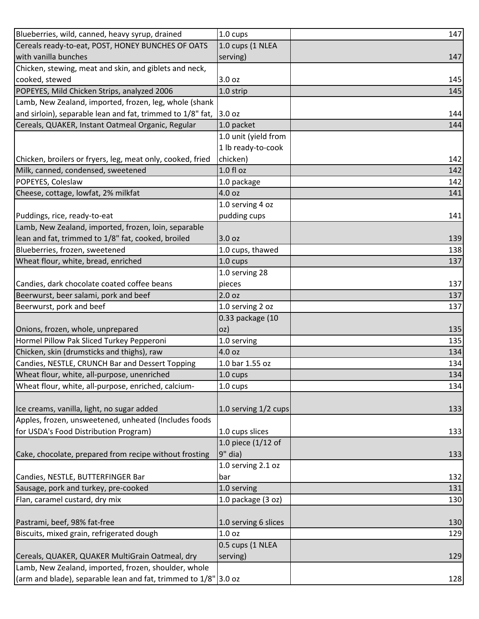| Blueberries, wild, canned, heavy syrup, drained                 | 1.0 cups             | 147 |
|-----------------------------------------------------------------|----------------------|-----|
| Cereals ready-to-eat, POST, HONEY BUNCHES OF OATS               | 1.0 cups (1 NLEA     |     |
| with vanilla bunches                                            | serving)             | 147 |
| Chicken, stewing, meat and skin, and giblets and neck,          |                      |     |
| cooked, stewed                                                  | 3.0 oz               | 145 |
| POPEYES, Mild Chicken Strips, analyzed 2006                     | 1.0 strip            | 145 |
| Lamb, New Zealand, imported, frozen, leg, whole (shank          |                      |     |
| and sirloin), separable lean and fat, trimmed to 1/8" fat,      | 3.0 oz               | 144 |
| Cereals, QUAKER, Instant Oatmeal Organic, Regular               | 1.0 packet           | 144 |
|                                                                 | 1.0 unit (yield from |     |
|                                                                 | 1 lb ready-to-cook   |     |
| Chicken, broilers or fryers, leg, meat only, cooked, fried      | chicken)             | 142 |
| Milk, canned, condensed, sweetened                              | $1.0 f$ l oz         | 142 |
| POPEYES, Coleslaw                                               | 1.0 package          | 142 |
| Cheese, cottage, lowfat, 2% milkfat                             | 4.0 oz               | 141 |
|                                                                 | 1.0 serving 4 oz     |     |
| Puddings, rice, ready-to-eat                                    | pudding cups         | 141 |
| Lamb, New Zealand, imported, frozen, loin, separable            |                      |     |
| lean and fat, trimmed to 1/8" fat, cooked, broiled              | 3.0 oz               | 139 |
| Blueberries, frozen, sweetened                                  | 1.0 cups, thawed     | 138 |
| Wheat flour, white, bread, enriched                             | 1.0 cups             | 137 |
|                                                                 | 1.0 serving 28       |     |
| Candies, dark chocolate coated coffee beans                     | pieces               | 137 |
| Beerwurst, beer salami, pork and beef                           | 2.0 oz               | 137 |
| Beerwurst, pork and beef                                        | 1.0 serving 2 oz     | 137 |
|                                                                 | 0.33 package (10     |     |
| Onions, frozen, whole, unprepared                               | oz)                  | 135 |
| Hormel Pillow Pak Sliced Turkey Pepperoni                       | 1.0 serving          | 135 |
| Chicken, skin (drumsticks and thighs), raw                      | 4.0 oz               | 134 |
| Candies, NESTLE, CRUNCH Bar and Dessert Topping                 | 1.0 bar 1.55 oz      | 134 |
| Wheat flour, white, all-purpose, unenriched                     | 1.0 cups             | 134 |
| Wheat flour, white, all-purpose, enriched, calcium-             | 1.0 cups             | 134 |
|                                                                 |                      |     |
| Ice creams, vanilla, light, no sugar added                      | 1.0 serving 1/2 cups | 133 |
| Apples, frozen, unsweetened, unheated (Includes foods           |                      |     |
| for USDA's Food Distribution Program)                           | 1.0 cups slices      | 133 |
|                                                                 | 1.0 piece (1/12 of   |     |
| Cake, chocolate, prepared from recipe without frosting          | $9"$ dia)            | 133 |
|                                                                 | 1.0 serving 2.1 oz   |     |
| Candies, NESTLE, BUTTERFINGER Bar                               | bar                  | 132 |
| Sausage, pork and turkey, pre-cooked                            | 1.0 serving          | 131 |
| Flan, caramel custard, dry mix                                  | 1.0 package (3 oz)   | 130 |
|                                                                 |                      |     |
| Pastrami, beef, 98% fat-free                                    | 1.0 serving 6 slices | 130 |
| Biscuits, mixed grain, refrigerated dough                       | 1.0 <sub>oz</sub>    | 129 |
|                                                                 | 0.5 cups (1 NLEA     |     |
| Cereals, QUAKER, QUAKER MultiGrain Oatmeal, dry                 | serving)             | 129 |
| Lamb, New Zealand, imported, frozen, shoulder, whole            |                      |     |
| (arm and blade), separable lean and fat, trimmed to 1/8" 3.0 oz |                      | 128 |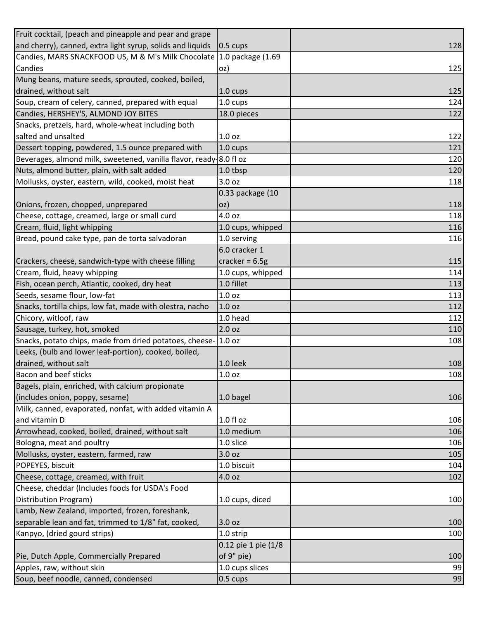| Fruit cocktail, (peach and pineapple and pear and grape              |                     |     |
|----------------------------------------------------------------------|---------------------|-----|
| and cherry), canned, extra light syrup, solids and liquids           | $0.5 \text{ cups}$  | 128 |
| Candies, MARS SNACKFOOD US, M & M's Milk Chocolate 1.0 package (1.69 |                     |     |
| Candies                                                              | oz)                 | 125 |
| Mung beans, mature seeds, sprouted, cooked, boiled,                  |                     |     |
| drained, without salt                                                | 1.0 cups            | 125 |
| Soup, cream of celery, canned, prepared with equal                   | 1.0 cups            | 124 |
| Candies, HERSHEY'S, ALMOND JOY BITES                                 | 18.0 pieces         | 122 |
| Snacks, pretzels, hard, whole-wheat including both                   |                     |     |
| salted and unsalted                                                  | 1.0 <sub>oz</sub>   | 122 |
| Dessert topping, powdered, 1.5 ounce prepared with                   | 1.0 cups            | 121 |
| Beverages, almond milk, sweetened, vanilla flavor, ready 8.0 fl oz   |                     | 120 |
| Nuts, almond butter, plain, with salt added                          | 1.0 tbsp            | 120 |
| Mollusks, oyster, eastern, wild, cooked, moist heat                  | 3.0 <sub>oz</sub>   | 118 |
|                                                                      | 0.33 package (10    |     |
| Onions, frozen, chopped, unprepared                                  | OZ)                 | 118 |
| Cheese, cottage, creamed, large or small curd                        | 4.0 oz              | 118 |
| Cream, fluid, light whipping                                         | 1.0 cups, whipped   | 116 |
| Bread, pound cake type, pan de torta salvadoran                      | 1.0 serving         | 116 |
|                                                                      | 6.0 cracker 1       |     |
| Crackers, cheese, sandwich-type with cheese filling                  | cracker = $6.5g$    | 115 |
| Cream, fluid, heavy whipping                                         | 1.0 cups, whipped   | 114 |
| Fish, ocean perch, Atlantic, cooked, dry heat                        | 1.0 fillet          | 113 |
| Seeds, sesame flour, low-fat                                         | 1.0 <sub>oz</sub>   | 113 |
| Snacks, tortilla chips, low fat, made with olestra, nacho            | 1.0 <sub>oz</sub>   | 112 |
| Chicory, witloof, raw                                                | 1.0 head            | 112 |
| Sausage, turkey, hot, smoked                                         | 2.0 <sub>oz</sub>   | 110 |
| Snacks, potato chips, made from dried potatoes, cheese-              | 1.0 <sub>oz</sub>   | 108 |
| Leeks, (bulb and lower leaf-portion), cooked, boiled,                |                     |     |
| drained, without salt                                                | 1.0 leek            | 108 |
| <b>Bacon and beef sticks</b>                                         | 1.0 <sub>oz</sub>   | 108 |
| Bagels, plain, enriched, with calcium propionate                     |                     |     |
| (includes onion, poppy, sesame)                                      | 1.0 bagel           | 106 |
| Milk, canned, evaporated, nonfat, with added vitamin A               |                     |     |
| and vitamin D                                                        | 1.0 fl oz           | 106 |
| Arrowhead, cooked, boiled, drained, without salt                     | 1.0 medium          | 106 |
| Bologna, meat and poultry                                            | 1.0 slice           | 106 |
| Mollusks, oyster, eastern, farmed, raw                               | 3.0 <sub>oz</sub>   | 105 |
| POPEYES, biscuit                                                     | 1.0 biscuit         | 104 |
| Cheese, cottage, creamed, with fruit                                 | 4.0 oz              | 102 |
| Cheese, cheddar (Includes foods for USDA's Food                      |                     |     |
| Distribution Program)                                                | 1.0 cups, diced     | 100 |
| Lamb, New Zealand, imported, frozen, foreshank,                      |                     |     |
| separable lean and fat, trimmed to 1/8" fat, cooked,                 | 3.0 oz              | 100 |
| Kanpyo, (dried gourd strips)                                         | 1.0 strip           | 100 |
|                                                                      | 0.12 pie 1 pie (1/8 |     |
| Pie, Dutch Apple, Commercially Prepared                              | of 9" pie)          | 100 |
| Apples, raw, without skin                                            | 1.0 cups slices     | 99  |
| Soup, beef noodle, canned, condensed                                 | 0.5 cups            | 99  |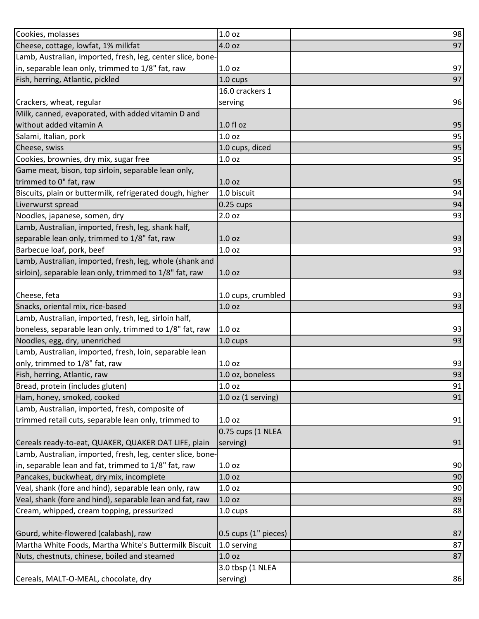| Cookies, molasses                                           | 1.0 oz               | 98 |
|-------------------------------------------------------------|----------------------|----|
| Cheese, cottage, lowfat, 1% milkfat                         | 4.0 oz               | 97 |
| Lamb, Australian, imported, fresh, leg, center slice, bone- |                      |    |
| in, separable lean only, trimmed to 1/8" fat, raw           | 1.0 <sub>oz</sub>    | 97 |
| Fish, herring, Atlantic, pickled                            | 1.0 cups             | 97 |
|                                                             | 16.0 crackers 1      |    |
| Crackers, wheat, regular                                    | serving              | 96 |
| Milk, canned, evaporated, with added vitamin D and          |                      |    |
| without added vitamin A                                     | $1.0 f$ l oz         | 95 |
| Salami, Italian, pork                                       | 1.0 <sub>oz</sub>    | 95 |
| Cheese, swiss                                               | 1.0 cups, diced      | 95 |
| Cookies, brownies, dry mix, sugar free                      | 1.0 <sub>oz</sub>    | 95 |
| Game meat, bison, top sirloin, separable lean only,         |                      |    |
| trimmed to 0" fat, raw                                      | 1.0 <sub>oz</sub>    | 95 |
| Biscuits, plain or buttermilk, refrigerated dough, higher   | 1.0 biscuit          | 94 |
| Liverwurst spread                                           | $0.25$ cups          | 94 |
| Noodles, japanese, somen, dry                               | 2.0 <sub>oz</sub>    | 93 |
| Lamb, Australian, imported, fresh, leg, shank half,         |                      |    |
| separable lean only, trimmed to 1/8" fat, raw               | 1.0 <sub>oz</sub>    | 93 |
| Barbecue loaf, pork, beef                                   | 1.0 oz               | 93 |
| Lamb, Australian, imported, fresh, leg, whole (shank and    |                      |    |
| sirloin), separable lean only, trimmed to 1/8" fat, raw     | 1.0 <sub>oz</sub>    | 93 |
|                                                             |                      |    |
| Cheese, feta                                                | 1.0 cups, crumbled   | 93 |
| Snacks, oriental mix, rice-based                            | 1.0 oz               | 93 |
| Lamb, Australian, imported, fresh, leg, sirloin half,       |                      |    |
| boneless, separable lean only, trimmed to 1/8" fat, raw     | 1.0 <sub>oz</sub>    | 93 |
| Noodles, egg, dry, unenriched                               | 1.0 cups             | 93 |
| Lamb, Australian, imported, fresh, loin, separable lean     |                      |    |
| only, trimmed to 1/8" fat, raw                              | 1.0 <sub>oz</sub>    | 93 |
| Fish, herring, Atlantic, raw                                | 1.0 oz, boneless     | 93 |
| Bread, protein (includes gluten)                            | 1.0 oz               | 91 |
| Ham, honey, smoked, cooked                                  | $1.0$ oz (1 serving) | 91 |
| Lamb, Australian, imported, fresh, composite of             |                      |    |
| trimmed retail cuts, separable lean only, trimmed to        | 1.0 <sub>oz</sub>    | 91 |
|                                                             | 0.75 cups (1 NLEA    |    |
| Cereals ready-to-eat, QUAKER, QUAKER OAT LIFE, plain        | serving)             | 91 |
| Lamb, Australian, imported, fresh, leg, center slice, bone- |                      |    |
| in, separable lean and fat, trimmed to 1/8" fat, raw        | 1.0 <sub>oz</sub>    | 90 |
| Pancakes, buckwheat, dry mix, incomplete                    | 1.0 oz               | 90 |
| Veal, shank (fore and hind), separable lean only, raw       | 1.0 <sub>oz</sub>    | 90 |
| Veal, shank (fore and hind), separable lean and fat, raw    | 1.0 oz               | 89 |
| Cream, whipped, cream topping, pressurized                  | 1.0 cups             | 88 |
|                                                             |                      |    |
| Gourd, white-flowered (calabash), raw                       | 0.5 cups (1" pieces) | 87 |
| Martha White Foods, Martha White's Buttermilk Biscuit       | 1.0 serving          | 87 |
| Nuts, chestnuts, chinese, boiled and steamed                | 1.0 oz               | 87 |
|                                                             | 3.0 tbsp (1 NLEA     |    |
| Cereals, MALT-O-MEAL, chocolate, dry                        | serving)             | 86 |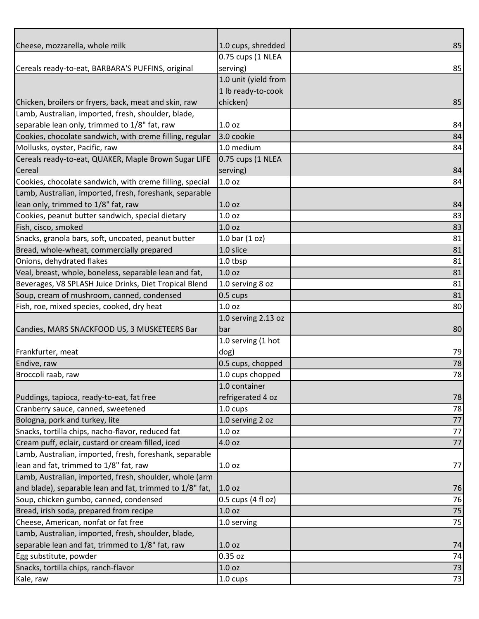| Cheese, mozzarella, whole milk                           | 1.0 cups, shredded   | 85 |
|----------------------------------------------------------|----------------------|----|
|                                                          | 0.75 cups (1 NLEA    |    |
| Cereals ready-to-eat, BARBARA'S PUFFINS, original        | serving)             | 85 |
|                                                          | 1.0 unit (yield from |    |
|                                                          | 1 lb ready-to-cook   |    |
| Chicken, broilers or fryers, back, meat and skin, raw    | chicken)             | 85 |
| Lamb, Australian, imported, fresh, shoulder, blade,      |                      |    |
| separable lean only, trimmed to 1/8" fat, raw            | 1.0 <sub>oz</sub>    | 84 |
| Cookies, chocolate sandwich, with creme filling, regular | 3.0 cookie           | 84 |
| Mollusks, oyster, Pacific, raw                           | 1.0 medium           | 84 |
| Cereals ready-to-eat, QUAKER, Maple Brown Sugar LIFE     | 0.75 cups (1 NLEA    |    |
| Cereal                                                   | serving)             | 84 |
| Cookies, chocolate sandwich, with creme filling, special | 1.0 <sub>oz</sub>    | 84 |
| Lamb, Australian, imported, fresh, foreshank, separable  |                      |    |
| lean only, trimmed to 1/8" fat, raw                      | 1.0 <sub>oz</sub>    | 84 |
| Cookies, peanut butter sandwich, special dietary         | 1.0 <sub>oz</sub>    | 83 |
| Fish, cisco, smoked                                      | 1.0 <sub>oz</sub>    | 83 |
| Snacks, granola bars, soft, uncoated, peanut butter      | 1.0 bar $(1 oz)$     | 81 |
| Bread, whole-wheat, commercially prepared                | 1.0 slice            | 81 |
| Onions, dehydrated flakes                                | 1.0 tbsp             | 81 |
| Veal, breast, whole, boneless, separable lean and fat,   | 1.0 <sub>oz</sub>    | 81 |
| Beverages, V8 SPLASH Juice Drinks, Diet Tropical Blend   | 1.0 serving 8 oz     | 81 |
| Soup, cream of mushroom, canned, condensed               | 0.5 cups             | 81 |
| Fish, roe, mixed species, cooked, dry heat               | 1.0 <sub>oz</sub>    | 80 |
|                                                          | 1.0 serving 2.13 oz  |    |
| Candies, MARS SNACKFOOD US, 3 MUSKETEERS Bar             | <b>bar</b>           | 80 |
|                                                          | 1.0 serving (1 hot   |    |
| Frankfurter, meat                                        | dog)                 | 79 |
| Endive, raw                                              | 0.5 cups, chopped    | 78 |
| Broccoli raab, raw                                       | 1.0 cups chopped     | 78 |
|                                                          | 1.0 container        |    |
| Puddings, tapioca, ready-to-eat, fat free                | refrigerated 4 oz    | 78 |
| Cranberry sauce, canned, sweetened                       | 1.0 cups             | 78 |
| Bologna, pork and turkey, lite                           | 1.0 serving 2 oz     | 77 |
| Snacks, tortilla chips, nacho-flavor, reduced fat        | 1.0 <sub>oz</sub>    | 77 |
| Cream puff, eclair, custard or cream filled, iced        | 4.0 oz               | 77 |
| Lamb, Australian, imported, fresh, foreshank, separable  |                      |    |
| lean and fat, trimmed to 1/8" fat, raw                   | 1.0 <sub>oz</sub>    | 77 |
| Lamb, Australian, imported, fresh, shoulder, whole (arm  |                      |    |
| and blade), separable lean and fat, trimmed to 1/8" fat, | 1.0 <sub>oz</sub>    | 76 |
| Soup, chicken gumbo, canned, condensed                   | 0.5 cups (4 fl oz)   | 76 |
| Bread, irish soda, prepared from recipe                  | 1.0 oz               | 75 |
| Cheese, American, nonfat or fat free                     | 1.0 serving          | 75 |
| Lamb, Australian, imported, fresh, shoulder, blade,      |                      |    |
| separable lean and fat, trimmed to 1/8" fat, raw         | 1.0 <sub>oz</sub>    | 74 |
| Egg substitute, powder                                   | 0.35 oz              | 74 |
| Snacks, tortilla chips, ranch-flavor                     | 1.0 <sub>oz</sub>    | 73 |
| Kale, raw                                                | 1.0 cups             | 73 |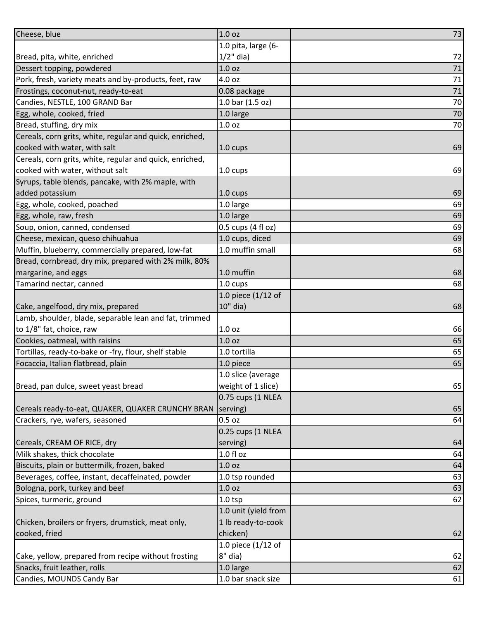| 1.0 pita, large (6-<br>$1/2$ " dia)<br>Bread, pita, white, enriched<br>Dessert topping, powdered<br>1.0 <sub>oz</sub><br>Pork, fresh, variety meats and by-products, feet, raw<br>4.0 oz<br>Frostings, coconut-nut, ready-to-eat<br>0.08 package<br>1.0 bar (1.5 oz)<br>Candies, NESTLE, 100 GRAND Bar<br>Egg, whole, cooked, fried<br>1.0 large<br>Bread, stuffing, dry mix<br>1.0 <sub>oz</sub><br>Cereals, corn grits, white, regular and quick, enriched,<br>cooked with water, with salt<br>1.0 cups<br>Cereals, corn grits, white, regular and quick, enriched,<br>cooked with water, without salt<br>1.0 cups<br>Syrups, table blends, pancake, with 2% maple, with | Cheese, blue    | 1.0 oz   | 73     |
|----------------------------------------------------------------------------------------------------------------------------------------------------------------------------------------------------------------------------------------------------------------------------------------------------------------------------------------------------------------------------------------------------------------------------------------------------------------------------------------------------------------------------------------------------------------------------------------------------------------------------------------------------------------------------|-----------------|----------|--------|
|                                                                                                                                                                                                                                                                                                                                                                                                                                                                                                                                                                                                                                                                            |                 |          |        |
|                                                                                                                                                                                                                                                                                                                                                                                                                                                                                                                                                                                                                                                                            |                 |          | 72     |
|                                                                                                                                                                                                                                                                                                                                                                                                                                                                                                                                                                                                                                                                            |                 |          | 71     |
|                                                                                                                                                                                                                                                                                                                                                                                                                                                                                                                                                                                                                                                                            |                 |          | 71     |
|                                                                                                                                                                                                                                                                                                                                                                                                                                                                                                                                                                                                                                                                            |                 |          | $71\,$ |
|                                                                                                                                                                                                                                                                                                                                                                                                                                                                                                                                                                                                                                                                            |                 |          | 70     |
|                                                                                                                                                                                                                                                                                                                                                                                                                                                                                                                                                                                                                                                                            |                 |          | 70     |
|                                                                                                                                                                                                                                                                                                                                                                                                                                                                                                                                                                                                                                                                            |                 |          | 70     |
|                                                                                                                                                                                                                                                                                                                                                                                                                                                                                                                                                                                                                                                                            |                 |          |        |
|                                                                                                                                                                                                                                                                                                                                                                                                                                                                                                                                                                                                                                                                            |                 |          | 69     |
|                                                                                                                                                                                                                                                                                                                                                                                                                                                                                                                                                                                                                                                                            |                 |          |        |
|                                                                                                                                                                                                                                                                                                                                                                                                                                                                                                                                                                                                                                                                            |                 |          | 69     |
|                                                                                                                                                                                                                                                                                                                                                                                                                                                                                                                                                                                                                                                                            |                 |          |        |
|                                                                                                                                                                                                                                                                                                                                                                                                                                                                                                                                                                                                                                                                            | added potassium | 1.0 cups | 69     |
| 1.0 large<br>Egg, whole, cooked, poached                                                                                                                                                                                                                                                                                                                                                                                                                                                                                                                                                                                                                                   |                 |          | 69     |
| Egg, whole, raw, fresh<br>1.0 large                                                                                                                                                                                                                                                                                                                                                                                                                                                                                                                                                                                                                                        |                 |          | 69     |
| 0.5 cups (4 fl oz)<br>Soup, onion, canned, condensed                                                                                                                                                                                                                                                                                                                                                                                                                                                                                                                                                                                                                       |                 |          | 69     |
| 1.0 cups, diced<br>Cheese, mexican, queso chihuahua                                                                                                                                                                                                                                                                                                                                                                                                                                                                                                                                                                                                                        |                 |          | 69     |
| 1.0 muffin small<br>Muffin, blueberry, commercially prepared, low-fat                                                                                                                                                                                                                                                                                                                                                                                                                                                                                                                                                                                                      |                 |          | 68     |
| Bread, cornbread, dry mix, prepared with 2% milk, 80%                                                                                                                                                                                                                                                                                                                                                                                                                                                                                                                                                                                                                      |                 |          |        |
| 1.0 muffin<br>margarine, and eggs                                                                                                                                                                                                                                                                                                                                                                                                                                                                                                                                                                                                                                          |                 |          | 68     |
| Tamarind nectar, canned<br>1.0 cups                                                                                                                                                                                                                                                                                                                                                                                                                                                                                                                                                                                                                                        |                 |          | 68     |
| 1.0 piece (1/12 of                                                                                                                                                                                                                                                                                                                                                                                                                                                                                                                                                                                                                                                         |                 |          |        |
| 10" dia)<br>Cake, angelfood, dry mix, prepared                                                                                                                                                                                                                                                                                                                                                                                                                                                                                                                                                                                                                             |                 |          | 68     |
| Lamb, shoulder, blade, separable lean and fat, trimmed                                                                                                                                                                                                                                                                                                                                                                                                                                                                                                                                                                                                                     |                 |          |        |
| to 1/8" fat, choice, raw<br>1.0 <sub>oz</sub>                                                                                                                                                                                                                                                                                                                                                                                                                                                                                                                                                                                                                              |                 |          | 66     |
| Cookies, oatmeal, with raisins<br>1.0 <sub>oz</sub>                                                                                                                                                                                                                                                                                                                                                                                                                                                                                                                                                                                                                        |                 |          | 65     |
| Tortillas, ready-to-bake or -fry, flour, shelf stable<br>1.0 tortilla                                                                                                                                                                                                                                                                                                                                                                                                                                                                                                                                                                                                      |                 |          | 65     |
| Focaccia, Italian flatbread, plain<br>1.0 piece                                                                                                                                                                                                                                                                                                                                                                                                                                                                                                                                                                                                                            |                 |          | 65     |
| 1.0 slice (average                                                                                                                                                                                                                                                                                                                                                                                                                                                                                                                                                                                                                                                         |                 |          |        |
| Bread, pan dulce, sweet yeast bread<br>weight of 1 slice)                                                                                                                                                                                                                                                                                                                                                                                                                                                                                                                                                                                                                  |                 |          | 65     |
| 0.75 cups (1 NLEA                                                                                                                                                                                                                                                                                                                                                                                                                                                                                                                                                                                                                                                          |                 |          |        |
| Cereals ready-to-eat, QUAKER, QUAKER CRUNCHY BRAN<br>serving)                                                                                                                                                                                                                                                                                                                                                                                                                                                                                                                                                                                                              |                 |          | 65     |
| Crackers, rye, wafers, seasoned<br>$0.5$ oz                                                                                                                                                                                                                                                                                                                                                                                                                                                                                                                                                                                                                                |                 |          | 64     |
| 0.25 cups (1 NLEA                                                                                                                                                                                                                                                                                                                                                                                                                                                                                                                                                                                                                                                          |                 |          |        |
| Cereals, CREAM OF RICE, dry<br>serving)                                                                                                                                                                                                                                                                                                                                                                                                                                                                                                                                                                                                                                    |                 |          | 64     |
| Milk shakes, thick chocolate<br>$1.0 f$ l oz                                                                                                                                                                                                                                                                                                                                                                                                                                                                                                                                                                                                                               |                 |          | 64     |
| Biscuits, plain or buttermilk, frozen, baked<br>1.0 <sub>oz</sub>                                                                                                                                                                                                                                                                                                                                                                                                                                                                                                                                                                                                          |                 |          | 64     |
| Beverages, coffee, instant, decaffeinated, powder<br>1.0 tsp rounded                                                                                                                                                                                                                                                                                                                                                                                                                                                                                                                                                                                                       |                 |          | 63     |
| Bologna, pork, turkey and beef<br>1.0 oz                                                                                                                                                                                                                                                                                                                                                                                                                                                                                                                                                                                                                                   |                 |          | 63     |
| Spices, turmeric, ground<br>$1.0$ tsp                                                                                                                                                                                                                                                                                                                                                                                                                                                                                                                                                                                                                                      |                 |          | 62     |
| 1.0 unit (yield from                                                                                                                                                                                                                                                                                                                                                                                                                                                                                                                                                                                                                                                       |                 |          |        |
| 1 lb ready-to-cook<br>Chicken, broilers or fryers, drumstick, meat only,                                                                                                                                                                                                                                                                                                                                                                                                                                                                                                                                                                                                   |                 |          |        |
| cooked, fried<br>chicken)                                                                                                                                                                                                                                                                                                                                                                                                                                                                                                                                                                                                                                                  |                 |          | 62     |
| 1.0 piece (1/12 of                                                                                                                                                                                                                                                                                                                                                                                                                                                                                                                                                                                                                                                         |                 |          |        |
| 8" dia)<br>Cake, yellow, prepared from recipe without frosting                                                                                                                                                                                                                                                                                                                                                                                                                                                                                                                                                                                                             |                 |          | 62     |
| Snacks, fruit leather, rolls<br>1.0 large                                                                                                                                                                                                                                                                                                                                                                                                                                                                                                                                                                                                                                  |                 |          | 62     |
| Candies, MOUNDS Candy Bar<br>1.0 bar snack size                                                                                                                                                                                                                                                                                                                                                                                                                                                                                                                                                                                                                            |                 |          | 61     |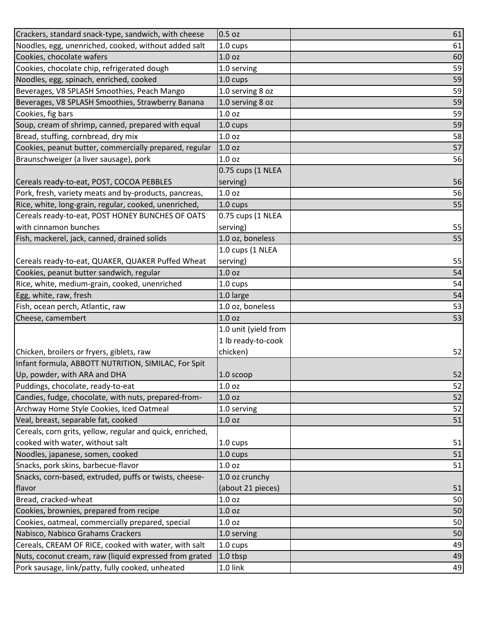| Crackers, standard snack-type, sandwich, with cheese      | $0.5$ oz             | 61 |
|-----------------------------------------------------------|----------------------|----|
| Noodles, egg, unenriched, cooked, without added salt      | 1.0 cups             | 61 |
| Cookies, chocolate wafers                                 | 1.0 <sub>oz</sub>    | 60 |
| Cookies, chocolate chip, refrigerated dough               | 1.0 serving          | 59 |
| Noodles, egg, spinach, enriched, cooked                   | 1.0 cups             | 59 |
| Beverages, V8 SPLASH Smoothies, Peach Mango               | 1.0 serving 8 oz     | 59 |
| Beverages, V8 SPLASH Smoothies, Strawberry Banana         | 1.0 serving 8 oz     | 59 |
| Cookies, fig bars                                         | 1.0 <sub>oz</sub>    | 59 |
| Soup, cream of shrimp, canned, prepared with equal        | 1.0 cups             | 59 |
| Bread, stuffing, cornbread, dry mix                       | 1.0 <sub>oz</sub>    | 58 |
| Cookies, peanut butter, commercially prepared, regular    | 1.0 <sub>oz</sub>    | 57 |
| Braunschweiger (a liver sausage), pork                    | 1.0 <sub>oz</sub>    | 56 |
|                                                           | 0.75 cups (1 NLEA    |    |
| Cereals ready-to-eat, POST, COCOA PEBBLES                 | serving)             | 56 |
| Pork, fresh, variety meats and by-products, pancreas,     | 1.0 <sub>oz</sub>    | 56 |
| Rice, white, long-grain, regular, cooked, unenriched,     | 1.0 cups             | 55 |
| Cereals ready-to-eat, POST HONEY BUNCHES OF OATS          | 0.75 cups (1 NLEA    |    |
| with cinnamon bunches                                     | serving)             | 55 |
| Fish, mackerel, jack, canned, drained solids              | 1.0 oz, boneless     | 55 |
|                                                           | 1.0 cups (1 NLEA     |    |
| Cereals ready-to-eat, QUAKER, QUAKER Puffed Wheat         | serving)             | 55 |
| Cookies, peanut butter sandwich, regular                  | 1.0 <sub>oz</sub>    | 54 |
| Rice, white, medium-grain, cooked, unenriched             | $1.0 \text{ cups}$   | 54 |
| Egg, white, raw, fresh                                    | 1.0 large            | 54 |
| Fish, ocean perch, Atlantic, raw                          | 1.0 oz, boneless     | 53 |
| Cheese, camembert                                         | 1.0 <sub>oz</sub>    | 53 |
|                                                           | 1.0 unit (yield from |    |
|                                                           | 1 lb ready-to-cook   |    |
| Chicken, broilers or fryers, giblets, raw                 | chicken)             | 52 |
| Infant formula, ABBOTT NUTRITION, SIMILAC, For Spit       |                      |    |
| Up, powder, with ARA and DHA                              | $1.0$ scoop          | 52 |
| Puddings, chocolate, ready-to-eat                         | 1.0 <sub>oz</sub>    | 52 |
| Candies, fudge, chocolate, with nuts, prepared-from-      | 1.0 <sub>oz</sub>    | 52 |
| Archway Home Style Cookies, Iced Oatmeal                  | 1.0 serving          | 52 |
| Veal, breast, separable fat, cooked                       | 1.0 <sub>oz</sub>    | 51 |
| Cereals, corn grits, yellow, regular and quick, enriched, |                      |    |
| cooked with water, without salt                           | 1.0 cups             | 51 |
| Noodles, japanese, somen, cooked                          | 1.0 cups             | 51 |
| Snacks, pork skins, barbecue-flavor                       | 1.0 <sub>oz</sub>    | 51 |
| Snacks, corn-based, extruded, puffs or twists, cheese-    | 1.0 oz crunchy       |    |
| flavor                                                    | (about 21 pieces)    | 51 |
| Bread, cracked-wheat                                      | 1.0 <sub>oz</sub>    | 50 |
| Cookies, brownies, prepared from recipe                   |                      |    |
|                                                           | 1.0 oz               | 50 |
| Cookies, oatmeal, commercially prepared, special          | 1.0 <sub>oz</sub>    | 50 |
| Nabisco, Nabisco Grahams Crackers                         | 1.0 serving          | 50 |
| Cereals, CREAM OF RICE, cooked with water, with salt      | $1.0 \text{ cups}$   | 49 |
| Nuts, coconut cream, raw (liquid expressed from grated    | 1.0 tbsp             | 49 |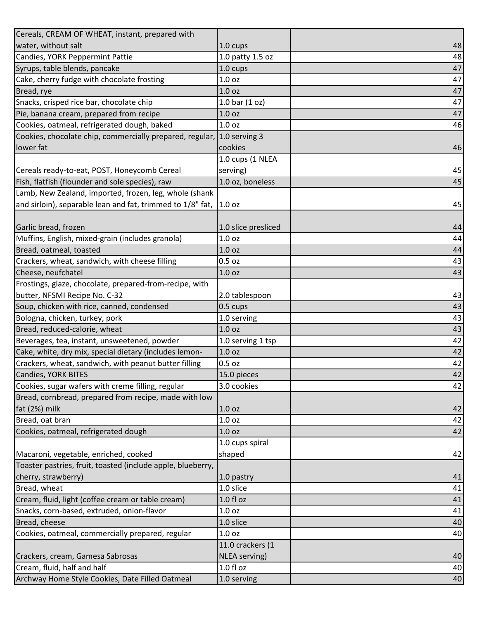| Cereals, CREAM OF WHEAT, instant, prepared with                        |                     |    |
|------------------------------------------------------------------------|---------------------|----|
| water, without salt                                                    | 1.0 cups            | 48 |
| Candies, YORK Peppermint Pattie                                        | 1.0 patty 1.5 oz    | 48 |
| Syrups, table blends, pancake                                          | 1.0 cups            | 47 |
| Cake, cherry fudge with chocolate frosting                             | 1.0 <sub>oz</sub>   | 47 |
| Bread, rye                                                             | 1.0 <sub>oz</sub>   | 47 |
| Snacks, crisped rice bar, chocolate chip                               | 1.0 bar $(1 oz)$    | 47 |
| Pie, banana cream, prepared from recipe                                | 1.0 <sub>oz</sub>   | 47 |
| Cookies, oatmeal, refrigerated dough, baked                            | 1.0 <sub>oz</sub>   | 46 |
| Cookies, chocolate chip, commercially prepared, regular, 1.0 serving 3 |                     |    |
| lower fat                                                              | cookies             | 46 |
|                                                                        | 1.0 cups (1 NLEA    |    |
| Cereals ready-to-eat, POST, Honeycomb Cereal                           | serving)            | 45 |
| Fish, flatfish (flounder and sole species), raw                        | 1.0 oz, boneless    | 45 |
| Lamb, New Zealand, imported, frozen, leg, whole (shank                 |                     |    |
| and sirloin), separable lean and fat, trimmed to 1/8" fat,             | 1.0 <sub>oz</sub>   | 45 |
|                                                                        |                     |    |
| Garlic bread, frozen                                                   | 1.0 slice presliced | 44 |
| Muffins, English, mixed-grain (includes granola)                       | 1.0 <sub>oz</sub>   | 44 |
| Bread, oatmeal, toasted                                                | 1.0 <sub>oz</sub>   | 44 |
| Crackers, wheat, sandwich, with cheese filling                         | $0.5$ oz            | 43 |
| Cheese, neufchatel                                                     | 1.0 <sub>oz</sub>   | 43 |
| Frostings, glaze, chocolate, prepared-from-recipe, with                |                     |    |
| butter, NFSMI Recipe No. C-32                                          | 2.0 tablespoon      | 43 |
| Soup, chicken with rice, canned, condensed                             | $0.5 \text{ cups}$  | 43 |
| Bologna, chicken, turkey, pork                                         | 1.0 serving         | 43 |
| Bread, reduced-calorie, wheat                                          | 1.0 <sub>oz</sub>   | 43 |
| Beverages, tea, instant, unsweetened, powder                           | 1.0 serving 1 tsp   | 42 |
| Cake, white, dry mix, special dietary (includes lemon-                 | 1.0 <sub>oz</sub>   | 42 |
| Crackers, wheat, sandwich, with peanut butter filling                  | $0.5$ oz            | 42 |
| Candies, YORK BITES                                                    | 15.0 pieces         | 42 |
| Cookies, sugar wafers with creme filling, regular                      | 3.0 cookies         | 42 |
| Bread, cornbread, prepared from recipe, made with low                  |                     |    |
| fat (2%) milk                                                          | 1.0 <sub>oz</sub>   | 42 |
| Bread, oat bran                                                        | 1.0 oz              | 42 |
| Cookies, oatmeal, refrigerated dough                                   | 1.0 <sub>oz</sub>   | 42 |
|                                                                        | 1.0 cups spiral     |    |
| Macaroni, vegetable, enriched, cooked                                  | shaped              | 42 |
| Toaster pastries, fruit, toasted (include apple, blueberry,            |                     |    |
| cherry, strawberry)                                                    | 1.0 pastry          | 41 |
| Bread, wheat                                                           | 1.0 slice           | 41 |
| Cream, fluid, light (coffee cream or table cream)                      | $1.0 f$ l oz        | 41 |
| Snacks, corn-based, extruded, onion-flavor                             | 1.0 <sub>oz</sub>   | 41 |
| Bread, cheese                                                          | 1.0 slice           | 40 |
| Cookies, oatmeal, commercially prepared, regular                       | 1.0 <sub>oz</sub>   | 40 |
|                                                                        | 11.0 crackers (1    |    |
| Crackers, cream, Gamesa Sabrosas                                       | NLEA serving)       | 40 |
| Cream, fluid, half and half                                            | $1.0 f$ l oz        | 40 |
| Archway Home Style Cookies, Date Filled Oatmeal                        | 1.0 serving         | 40 |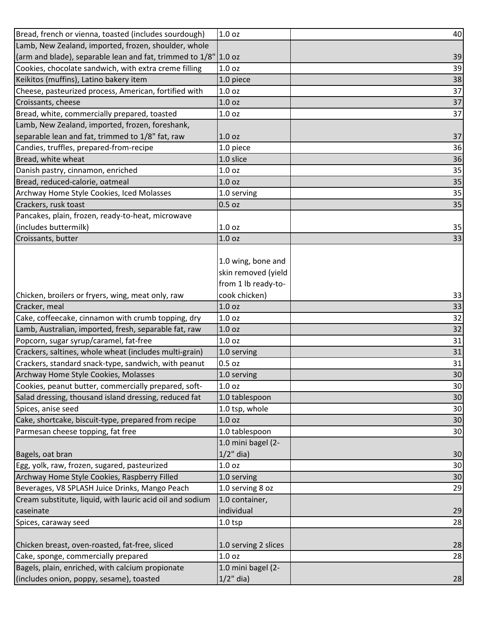| Bread, french or vienna, toasted (includes sourdough)           | 1.0 <sub>oz</sub>    | 40 |
|-----------------------------------------------------------------|----------------------|----|
| Lamb, New Zealand, imported, frozen, shoulder, whole            |                      |    |
| (arm and blade), separable lean and fat, trimmed to 1/8" 1.0 oz |                      | 39 |
| Cookies, chocolate sandwich, with extra creme filling           | 1.0 <sub>oz</sub>    | 39 |
| Keikitos (muffins), Latino bakery item                          | 1.0 piece            | 38 |
| Cheese, pasteurized process, American, fortified with           | 1.0 <sub>oz</sub>    | 37 |
| Croissants, cheese                                              | 1.0 <sub>oz</sub>    | 37 |
| Bread, white, commercially prepared, toasted                    | 1.0 <sub>oz</sub>    | 37 |
| Lamb, New Zealand, imported, frozen, foreshank,                 |                      |    |
| separable lean and fat, trimmed to 1/8" fat, raw                | 1.0 <sub>oz</sub>    | 37 |
| Candies, truffles, prepared-from-recipe                         | 1.0 piece            | 36 |
| Bread, white wheat                                              | 1.0 slice            | 36 |
| Danish pastry, cinnamon, enriched                               | 1.0 <sub>oz</sub>    | 35 |
| Bread, reduced-calorie, oatmeal                                 | 1.0 <sub>oz</sub>    | 35 |
| Archway Home Style Cookies, Iced Molasses                       | 1.0 serving          | 35 |
| Crackers, rusk toast                                            | $0.5$ oz             | 35 |
| Pancakes, plain, frozen, ready-to-heat, microwave               |                      |    |
| (includes buttermilk)                                           | 1.0 <sub>oz</sub>    | 35 |
| Croissants, butter                                              | 1.0 <sub>oz</sub>    | 33 |
|                                                                 |                      |    |
|                                                                 | 1.0 wing, bone and   |    |
|                                                                 | skin removed (yield  |    |
|                                                                 | from 1 lb ready-to-  |    |
| Chicken, broilers or fryers, wing, meat only, raw               | cook chicken)        | 33 |
| Cracker, meal                                                   | 1.0 <sub>oz</sub>    | 33 |
| Cake, coffeecake, cinnamon with crumb topping, dry              | 1.0 <sub>oz</sub>    | 32 |
| Lamb, Australian, imported, fresh, separable fat, raw           | 1.0 <sub>oz</sub>    | 32 |
| Popcorn, sugar syrup/caramel, fat-free                          | 1.0 <sub>oz</sub>    | 31 |
| Crackers, saltines, whole wheat (includes multi-grain)          | 1.0 serving          | 31 |
| Crackers, standard snack-type, sandwich, with peanut            | $0.5$ oz             | 31 |
| Archway Home Style Cookies, Molasses                            | 1.0 serving          | 30 |
| Cookies, peanut butter, commercially prepared, soft-            | 1.0 <sub>oz</sub>    | 30 |
| Salad dressing, thousand island dressing, reduced fat           | 1.0 tablespoon       | 30 |
| Spices, anise seed                                              | 1.0 tsp, whole       | 30 |
| Cake, shortcake, biscuit-type, prepared from recipe             | 1.0 <sub>oz</sub>    | 30 |
| Parmesan cheese topping, fat free                               | 1.0 tablespoon       | 30 |
|                                                                 | 1.0 mini bagel (2-   |    |
| Bagels, oat bran                                                | $1/2$ " dia)         | 30 |
| Egg, yolk, raw, frozen, sugared, pasteurized                    | 1.0 <sub>oz</sub>    | 30 |
| Archway Home Style Cookies, Raspberry Filled                    | 1.0 serving          | 30 |
| Beverages, V8 SPLASH Juice Drinks, Mango Peach                  | 1.0 serving 8 oz     | 29 |
| Cream substitute, liquid, with lauric acid oil and sodium       | 1.0 container,       |    |
| caseinate                                                       | individual           | 29 |
| Spices, caraway seed                                            | $1.0$ tsp            | 28 |
|                                                                 |                      |    |
| Chicken breast, oven-roasted, fat-free, sliced                  |                      |    |
|                                                                 | 1.0 serving 2 slices | 28 |
| Cake, sponge, commercially prepared                             | 1.0 <sub>oz</sub>    | 28 |
| Bagels, plain, enriched, with calcium propionate                | 1.0 mini bagel (2-   |    |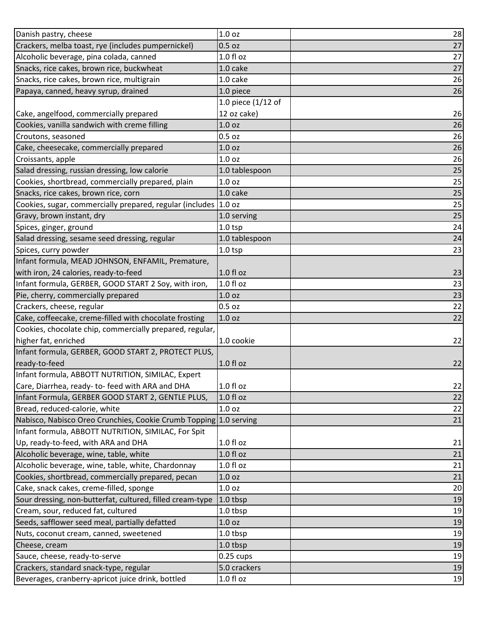| Danish pastry, cheese                                             | 1.0 oz             | 28 |
|-------------------------------------------------------------------|--------------------|----|
| Crackers, melba toast, rye (includes pumpernickel)                | $0.5$ oz           | 27 |
| Alcoholic beverage, pina colada, canned                           | 1.0 f1 oz          | 27 |
| Snacks, rice cakes, brown rice, buckwheat                         | 1.0 cake           | 27 |
| Snacks, rice cakes, brown rice, multigrain                        | 1.0 cake           | 26 |
| Papaya, canned, heavy syrup, drained                              | 1.0 piece          | 26 |
|                                                                   | 1.0 piece (1/12 of |    |
| Cake, angelfood, commercially prepared                            | 12 oz cake)        | 26 |
| Cookies, vanilla sandwich with creme filling                      | 1.0 <sub>oz</sub>  | 26 |
| Croutons, seasoned                                                | $0.5$ oz           | 26 |
| Cake, cheesecake, commercially prepared                           | 1.0 <sub>oz</sub>  | 26 |
| Croissants, apple                                                 | 1.0 <sub>oz</sub>  | 26 |
| Salad dressing, russian dressing, low calorie                     | 1.0 tablespoon     | 25 |
| Cookies, shortbread, commercially prepared, plain                 | 1.0 <sub>oz</sub>  | 25 |
| Snacks, rice cakes, brown rice, corn                              | 1.0 cake           | 25 |
| Cookies, sugar, commercially prepared, regular (includes          | 1.0 oz             | 25 |
| Gravy, brown instant, dry                                         | 1.0 serving        | 25 |
| Spices, ginger, ground                                            | $1.0$ tsp          | 24 |
| Salad dressing, sesame seed dressing, regular                     | 1.0 tablespoon     | 24 |
| Spices, curry powder                                              | $1.0$ tsp          | 23 |
| Infant formula, MEAD JOHNSON, ENFAMIL, Premature,                 |                    |    |
| with iron, 24 calories, ready-to-feed                             | $1.0 f$ l oz       | 23 |
| Infant formula, GERBER, GOOD START 2 Soy, with iron,              | 1.0 fl oz          | 23 |
| Pie, cherry, commercially prepared                                | 1.0 <sub>oz</sub>  | 23 |
| Crackers, cheese, regular                                         | $0.5$ oz           | 22 |
| Cake, coffeecake, creme-filled with chocolate frosting            | 1.0 <sub>oz</sub>  | 22 |
| Cookies, chocolate chip, commercially prepared, regular,          |                    |    |
| higher fat, enriched                                              | 1.0 cookie         | 22 |
| Infant formula, GERBER, GOOD START 2, PROTECT PLUS,               |                    |    |
| ready-to-feed                                                     | 1.0 fl oz          | 22 |
| Infant formula, ABBOTT NUTRITION, SIMILAC, Expert                 |                    |    |
| Care, Diarrhea, ready- to- feed with ARA and DHA                  | 1.0 fl oz          | 22 |
| Infant Formula, GERBER GOOD START 2, GENTLE PLUS,                 | 1.0 fl oz          | 22 |
| Bread, reduced-calorie, white                                     | 1.0 <sub>oz</sub>  | 22 |
| Nabisco, Nabisco Oreo Crunchies, Cookie Crumb Topping 1.0 serving |                    | 21 |
| Infant formula, ABBOTT NUTRITION, SIMILAC, For Spit               |                    |    |
| Up, ready-to-feed, with ARA and DHA                               | 1.0 f1 oz          | 21 |
| Alcoholic beverage, wine, table, white                            | 1.0 f1 oz          | 21 |
| Alcoholic beverage, wine, table, white, Chardonnay                | 1.0 f1 oz          | 21 |
| Cookies, shortbread, commercially prepared, pecan                 | 1.0 oz             | 21 |
| Cake, snack cakes, creme-filled, sponge                           | 1.0 <sub>oz</sub>  | 20 |
| Sour dressing, non-butterfat, cultured, filled cream-type         | 1.0 tbsp           | 19 |
| Cream, sour, reduced fat, cultured                                | 1.0 tbsp           | 19 |
| Seeds, safflower seed meal, partially defatted                    | 1.0 <sub>oz</sub>  | 19 |
| Nuts, coconut cream, canned, sweetened                            | 1.0 tbsp           | 19 |
| Cheese, cream                                                     | 1.0 tbsp           | 19 |
| Sauce, cheese, ready-to-serve                                     | $0.25$ cups        | 19 |
| Crackers, standard snack-type, regular                            | 5.0 crackers       | 19 |
| Beverages, cranberry-apricot juice drink, bottled                 | 1.0 f1 oz          | 19 |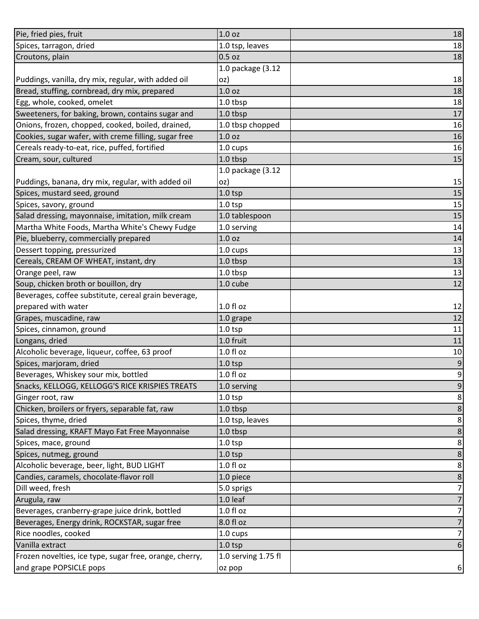| Pie, fried pies, fruit                                  | 1.0 <sub>oz</sub>   | 18               |
|---------------------------------------------------------|---------------------|------------------|
| Spices, tarragon, dried                                 | 1.0 tsp, leaves     | 18               |
| Croutons, plain                                         | $0.5$ oz            | 18               |
|                                                         | 1.0 package (3.12   |                  |
| Puddings, vanilla, dry mix, regular, with added oil     | oz)                 | 18               |
| Bread, stuffing, cornbread, dry mix, prepared           | 1.0 <sub>oz</sub>   | 18               |
| Egg, whole, cooked, omelet                              | 1.0 tbsp            | 18               |
| Sweeteners, for baking, brown, contains sugar and       | 1.0 tbsp            | 17               |
| Onions, frozen, chopped, cooked, boiled, drained,       | 1.0 tbsp chopped    | 16               |
| Cookies, sugar wafer, with creme filling, sugar free    | 1.0 <sub>oz</sub>   | 16               |
| Cereals ready-to-eat, rice, puffed, fortified           | 1.0 cups            | 16               |
| Cream, sour, cultured                                   | 1.0 tbsp            | 15               |
|                                                         | 1.0 package (3.12   |                  |
| Puddings, banana, dry mix, regular, with added oil      | oz)                 | 15               |
| Spices, mustard seed, ground                            | $1.0$ tsp           | 15               |
| Spices, savory, ground                                  | $1.0$ tsp           | 15               |
| Salad dressing, mayonnaise, imitation, milk cream       | 1.0 tablespoon      | 15               |
| Martha White Foods, Martha White's Chewy Fudge          | 1.0 serving         | 14               |
| Pie, blueberry, commercially prepared                   | 1.0 <sub>oz</sub>   | 14               |
| Dessert topping, pressurized                            | 1.0 cups            | 13               |
| Cereals, CREAM OF WHEAT, instant, dry                   | 1.0 tbsp            | 13               |
| Orange peel, raw                                        | 1.0 tbsp            | 13               |
| Soup, chicken broth or bouillon, dry                    | 1.0 cube            | 12               |
| Beverages, coffee substitute, cereal grain beverage,    |                     |                  |
| prepared with water                                     | $1.0 f$ l oz        | 12               |
| Grapes, muscadine, raw                                  | 1.0 grape           | 12               |
| Spices, cinnamon, ground                                | $1.0$ tsp           | 11               |
| Longans, dried                                          | 1.0 fruit           | 11               |
| Alcoholic beverage, liqueur, coffee, 63 proof           | $1.0 f$ l oz        | 10               |
| Spices, marjoram, dried                                 | $1.0$ tsp           | 9                |
| Beverages, Whiskey sour mix, bottled                    | 1.0 fl oz           | $\overline{9}$   |
| Snacks, KELLOGG, KELLOGG'S RICE KRISPIES TREATS         | 1.0 serving         | $\boldsymbol{9}$ |
| Ginger root, raw                                        | $1.0$ tsp           | 8                |
| Chicken, broilers or fryers, separable fat, raw         | 1.0 tbsp            | $\bf 8$          |
| Spices, thyme, dried                                    | 1.0 tsp, leaves     | $\bf 8$          |
| Salad dressing, KRAFT Mayo Fat Free Mayonnaise          | 1.0 tbsp            | $\bf 8$          |
| Spices, mace, ground                                    | $1.0$ tsp           | $\bf 8$          |
| Spices, nutmeg, ground                                  | $1.0$ tsp           | $\bf 8$          |
| Alcoholic beverage, beer, light, BUD LIGHT              | $1.0 f$ l oz        | $\bf 8$          |
| Candies, caramels, chocolate-flavor roll                | 1.0 piece           | $\bf 8$          |
| Dill weed, fresh                                        | 5.0 sprigs          | $\overline{7}$   |
| Arugula, raw                                            | 1.0 leaf            | $\overline{7}$   |
| Beverages, cranberry-grape juice drink, bottled         | $1.0 f$ l oz        | $\overline{7}$   |
| Beverages, Energy drink, ROCKSTAR, sugar free           | 8.0 fl oz           | $\overline{7}$   |
| Rice noodles, cooked                                    | 1.0 cups            | $\overline{7}$   |
| Vanilla extract                                         | $1.0$ tsp           | 6                |
| Frozen novelties, ice type, sugar free, orange, cherry, | 1.0 serving 1.75 fl |                  |
| and grape POPSICLE pops                                 | oz pop              | 6 <sup>1</sup>   |